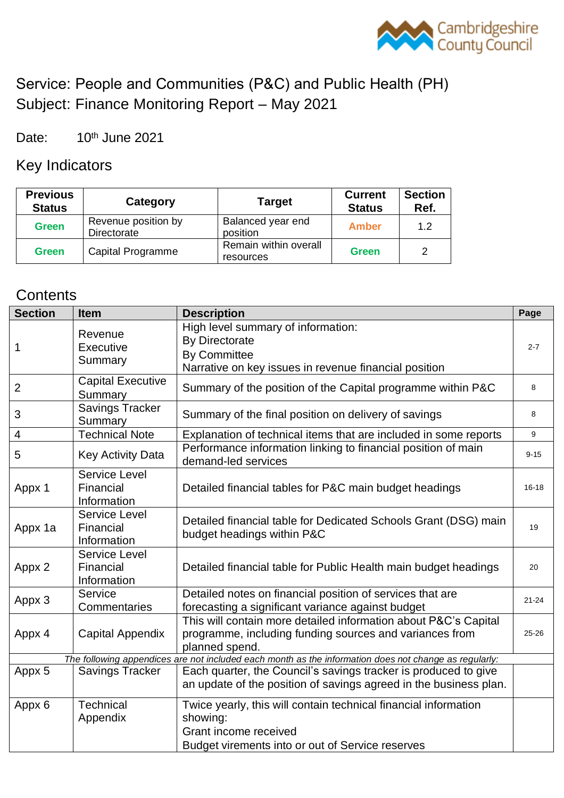

# Service: People and Communities (P&C) and Public Health (PH) Subject: Finance Monitoring Report – May 2021

Date: 10th June 2021

Key Indicators

| <b>Previous</b><br><b>Status</b> | Category                           | <b>Target</b>                      | <b>Current</b><br><b>Status</b> | <b>Section</b><br>Ref. |
|----------------------------------|------------------------------------|------------------------------------|---------------------------------|------------------------|
| <b>Green</b>                     | Revenue position by<br>Directorate | Balanced year end<br>position      | <b>Amber</b>                    | 1.2                    |
| <b>Green</b>                     | <b>Capital Programme</b>           | Remain within overall<br>resources | Green                           | 2                      |

## **Contents**

| <b>Section</b> | <b>Item</b>                                      | <b>Description</b>                                                                                                                           | Page      |  |  |  |
|----------------|--------------------------------------------------|----------------------------------------------------------------------------------------------------------------------------------------------|-----------|--|--|--|
|                | Revenue                                          | High level summary of information:                                                                                                           |           |  |  |  |
| $\mathbf 1$    | Executive                                        | <b>By Directorate</b>                                                                                                                        |           |  |  |  |
|                | Summary                                          | <b>By Committee</b>                                                                                                                          |           |  |  |  |
|                |                                                  | Narrative on key issues in revenue financial position                                                                                        |           |  |  |  |
| 2              | <b>Capital Executive</b><br>Summary              | Summary of the position of the Capital programme within P&C                                                                                  | 8         |  |  |  |
| 3              | <b>Savings Tracker</b><br>Summary                | Summary of the final position on delivery of savings                                                                                         | 8         |  |  |  |
| 4              | <b>Technical Note</b>                            | Explanation of technical items that are included in some reports                                                                             | 9         |  |  |  |
| 5              | <b>Key Activity Data</b>                         | Performance information linking to financial position of main<br>demand-led services                                                         | $9 - 15$  |  |  |  |
| Appx 1         | Service Level<br>Financial<br>Information        | Detailed financial tables for P&C main budget headings                                                                                       | $16 - 18$ |  |  |  |
| Appx 1a        | <b>Service Level</b><br>Financial<br>Information | Detailed financial table for Dedicated Schools Grant (DSG) main<br>budget headings within P&C                                                | 19        |  |  |  |
|                | <b>Service Level</b>                             |                                                                                                                                              |           |  |  |  |
| Appx 2         | Financial<br>Information                         | Detailed financial table for Public Health main budget headings                                                                              | 20        |  |  |  |
| Appx 3         | Service                                          | Detailed notes on financial position of services that are                                                                                    | $21 - 24$ |  |  |  |
|                | Commentaries                                     | forecasting a significant variance against budget                                                                                            |           |  |  |  |
| Appx 4         | <b>Capital Appendix</b>                          | This will contain more detailed information about P&C's Capital<br>programme, including funding sources and variances from<br>planned spend. | 25-26     |  |  |  |
|                |                                                  | The following appendices are not included each month as the information does not change as regularly:                                        |           |  |  |  |
| Appx 5         | <b>Savings Tracker</b>                           | Each quarter, the Council's savings tracker is produced to give<br>an update of the position of savings agreed in the business plan.         |           |  |  |  |
| Appx 6         | Technical                                        | Twice yearly, this will contain technical financial information                                                                              |           |  |  |  |
|                | Appendix                                         | showing:                                                                                                                                     |           |  |  |  |
|                |                                                  | Grant income received                                                                                                                        |           |  |  |  |
|                |                                                  | Budget virements into or out of Service reserves                                                                                             |           |  |  |  |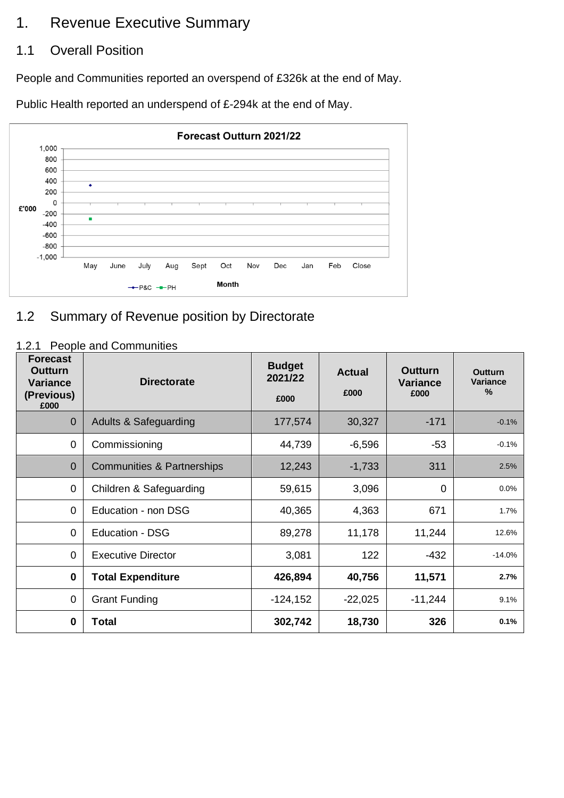## 1. Revenue Executive Summary

## 1.1 Overall Position

People and Communities reported an overspend of £326k at the end of May.

Public Health reported an underspend of £-294k at the end of May.



## 1.2 Summary of Revenue position by Directorate

### 1.2.1 People and Communities

| <b>Forecast</b><br>Outturn<br><b>Variance</b><br>(Previous)<br>£000 | <b>Directorate</b>                    | <b>Budget</b><br>2021/22<br>£000 | <b>Actual</b><br>£000 | <b>Outturn</b><br><b>Variance</b><br>£000 | Outturn<br>Variance<br>% |
|---------------------------------------------------------------------|---------------------------------------|----------------------------------|-----------------------|-------------------------------------------|--------------------------|
| $\mathbf 0$                                                         | <b>Adults &amp; Safeguarding</b>      | 177,574                          | 30,327                | $-171$                                    | $-0.1%$                  |
| $\mathbf 0$                                                         | Commissioning                         | 44,739                           | $-6,596$              | $-53$                                     | $-0.1%$                  |
| $\overline{0}$                                                      | <b>Communities &amp; Partnerships</b> | 12,243                           | $-1,733$              | 311                                       | 2.5%                     |
| $\mathbf 0$                                                         | Children & Safeguarding               | 59,615                           | 3,096                 | 0                                         | 0.0%                     |
| $\mathbf 0$                                                         | Education - non DSG                   | 40,365                           | 4,363                 | 671                                       | 1.7%                     |
| $\overline{0}$                                                      | <b>Education - DSG</b>                | 89,278                           | 11,178                | 11,244                                    | 12.6%                    |
| $\mathbf 0$                                                         | <b>Executive Director</b>             | 3,081                            | 122                   | $-432$                                    | $-14.0%$                 |
| $\mathbf 0$                                                         | <b>Total Expenditure</b>              | 426,894                          | 40,756                | 11,571                                    | 2.7%                     |
| $\mathbf 0$                                                         | <b>Grant Funding</b>                  | $-124, 152$                      | $-22,025$             | $-11,244$                                 | 9.1%                     |
| $\bf{0}$                                                            | <b>Total</b>                          | 302,742                          | 18,730                | 326                                       | 0.1%                     |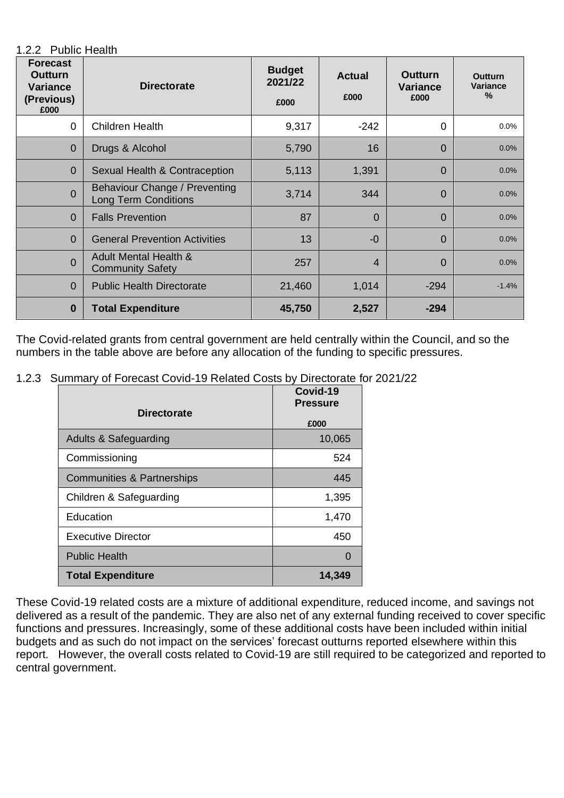1.2.2 Public Health

| <b>Forecast</b><br>Outturn<br><b>Variance</b><br>(Previous)<br>£000 | <b>Directorate</b>                                           | <b>Budget</b><br>2021/22<br>£000 | <b>Actual</b><br>£000 | <b>Outturn</b><br><b>Variance</b><br>£000 | <b>Outturn</b><br>Variance<br>$\%$ |
|---------------------------------------------------------------------|--------------------------------------------------------------|----------------------------------|-----------------------|-------------------------------------------|------------------------------------|
| $\mathbf 0$                                                         | <b>Children Health</b>                                       | 9,317                            | $-242$                | $\Omega$                                  | 0.0%                               |
| $\overline{0}$                                                      | Drugs & Alcohol                                              | 5,790                            | 16                    | $\Omega$                                  | 0.0%                               |
| $\overline{0}$                                                      | Sexual Health & Contraception                                | 5,113                            | 1,391                 | $\Omega$                                  | 0.0%                               |
| $\overline{0}$                                                      | Behaviour Change / Preventing<br><b>Long Term Conditions</b> | 3,714                            | 344                   | $\Omega$                                  | 0.0%                               |
| $\overline{0}$                                                      | <b>Falls Prevention</b>                                      | 87                               | $\Omega$              | $\Omega$                                  | 0.0%                               |
| $\overline{0}$                                                      | <b>General Prevention Activities</b>                         | 13                               | $-0$                  | $\Omega$                                  | 0.0%                               |
| $\overline{0}$                                                      | <b>Adult Mental Health &amp;</b><br><b>Community Safety</b>  | 257                              | 4                     | $\Omega$                                  | 0.0%                               |
| $\overline{0}$                                                      | <b>Public Health Directorate</b>                             | 21,460                           | 1,014                 | $-294$                                    | $-1.4%$                            |
| $\bf{0}$                                                            | <b>Total Expenditure</b>                                     | 45,750                           | 2,527                 | $-294$                                    |                                    |

The Covid-related grants from central government are held centrally within the Council, and so the numbers in the table above are before any allocation of the funding to specific pressures.

1.2.3 Summary of Forecast Covid-19 Related Costs by Directorate for 2021/22

|                            | Covid-19<br><b>Pressure</b> |  |  |
|----------------------------|-----------------------------|--|--|
| <b>Directorate</b>         | £000                        |  |  |
| Adults & Safeguarding      | 10,065                      |  |  |
| Commissioning              | 524                         |  |  |
| Communities & Partnerships | 445                         |  |  |
| Children & Safeguarding    | 1,395                       |  |  |
| Education                  | 1,470                       |  |  |
| <b>Executive Director</b>  | 450                         |  |  |
| <b>Public Health</b>       |                             |  |  |
| <b>Total Expenditure</b>   | 14,349                      |  |  |

These Covid-19 related costs are a mixture of additional expenditure, reduced income, and savings not delivered as a result of the pandemic. They are also net of any external funding received to cover specific functions and pressures. Increasingly, some of these additional costs have been included within initial budgets and as such do not impact on the services' forecast outturns reported elsewhere within this report. However, the overall costs related to Covid-19 are still required to be categorized and reported to central government.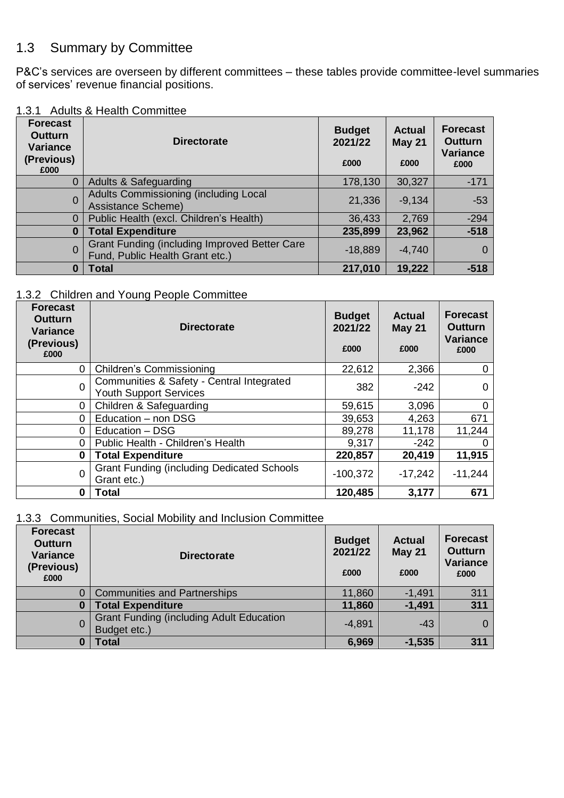## 1.3 Summary by Committee

P&C's services are overseen by different committees – these tables provide committee-level summaries of services' revenue financial positions.

|  |  |  | 1.3.1 Adults & Health Committee |
|--|--|--|---------------------------------|
|--|--|--|---------------------------------|

| <b>Forecast</b><br><b>Outturn</b><br><b>Variance</b><br>(Previous)<br>£000 | <b>Directorate</b>                                                                      | <b>Budget</b><br>2021/22<br>£000 | <b>Actual</b><br><b>May 21</b><br>£000 | <b>Forecast</b><br><b>Outturn</b><br><b>Variance</b><br>£000 |
|----------------------------------------------------------------------------|-----------------------------------------------------------------------------------------|----------------------------------|----------------------------------------|--------------------------------------------------------------|
| $\overline{0}$                                                             | <b>Adults &amp; Safeguarding</b>                                                        | 178,130                          | 30,327                                 | $-171$                                                       |
| $\overline{0}$                                                             | <b>Adults Commissioning (including Local</b><br>Assistance Scheme)                      | 21,336                           | $-9,134$                               | $-53$                                                        |
| $\overline{0}$                                                             | Public Health (excl. Children's Health)                                                 | 36,433                           | 2,769                                  | $-294$                                                       |
| $\bf{0}$                                                                   | <b>Total Expenditure</b>                                                                | 235,899                          | 23,962                                 | $-518$                                                       |
| $\Omega$                                                                   | <b>Grant Funding (including Improved Better Care</b><br>Fund, Public Health Grant etc.) | $-18,889$                        | $-4,740$                               | 0                                                            |
| 0                                                                          | <b>Total</b>                                                                            | 217,010                          | 19,222                                 | $-518$                                                       |

#### 1.3.2 Children and Young People Committee

| <b>Forecast</b><br>Outturn<br><b>Variance</b><br>(Previous)<br>£000 | <b>Directorate</b>                                                         | <b>Budget</b><br>2021/22<br>£000 | <b>Actual</b><br><b>May 21</b><br>£000 | <b>Forecast</b><br><b>Outturn</b><br><b>Variance</b><br>£000 |
|---------------------------------------------------------------------|----------------------------------------------------------------------------|----------------------------------|----------------------------------------|--------------------------------------------------------------|
| $\mathbf 0$                                                         | <b>Children's Commissioning</b>                                            | 22,612                           | 2,366                                  |                                                              |
| $\overline{0}$                                                      | Communities & Safety - Central Integrated<br><b>Youth Support Services</b> | 382                              | $-242$                                 | 0                                                            |
| 0                                                                   | Children & Safeguarding                                                    | 59,615                           | 3,096                                  | 0                                                            |
| $\Omega$                                                            | Education - non DSG                                                        | 39,653                           | 4,263                                  | 671                                                          |
| $\Omega$                                                            | Education - DSG                                                            | 89,278                           | 11,178                                 | 11,244                                                       |
| 0                                                                   | Public Health - Children's Health                                          | 9,317                            | $-242$                                 |                                                              |
| 0                                                                   | <b>Total Expenditure</b>                                                   | 220,857                          | 20,419                                 | 11,915                                                       |
| $\mathbf{0}$                                                        | <b>Grant Funding (including Dedicated Schools</b><br>Grant etc.)           | $-100,372$                       | $-17,242$                              | $-11,244$                                                    |
| 0                                                                   | <b>Total</b>                                                               | 120,485                          | 3,177                                  | 671                                                          |

### 1.3.3 Communities, Social Mobility and Inclusion Committee

| <b>Forecast</b><br>Outturn<br><b>Variance</b><br>(Previous)<br>£000 | <b>Directorate</b>                                              | <b>Budget</b><br>2021/22<br>£000 | <b>Actual</b><br><b>May 21</b><br>£000 | <b>Forecast</b><br><b>Outturn</b><br>Variance<br>£000 |
|---------------------------------------------------------------------|-----------------------------------------------------------------|----------------------------------|----------------------------------------|-------------------------------------------------------|
| 0                                                                   | <b>Communities and Partnerships</b>                             | 11,860                           | $-1,491$                               | 311                                                   |
| $\bf{0}$                                                            | <b>Total Expenditure</b>                                        | 11,860                           | $-1,491$                               | 311                                                   |
| 0                                                                   | <b>Grant Funding (including Adult Education</b><br>Budget etc.) | $-4,891$                         | $-43$                                  | $\Omega$                                              |
| $\bf{0}$                                                            | Total                                                           | 6,969                            | $-1,535$                               | 311                                                   |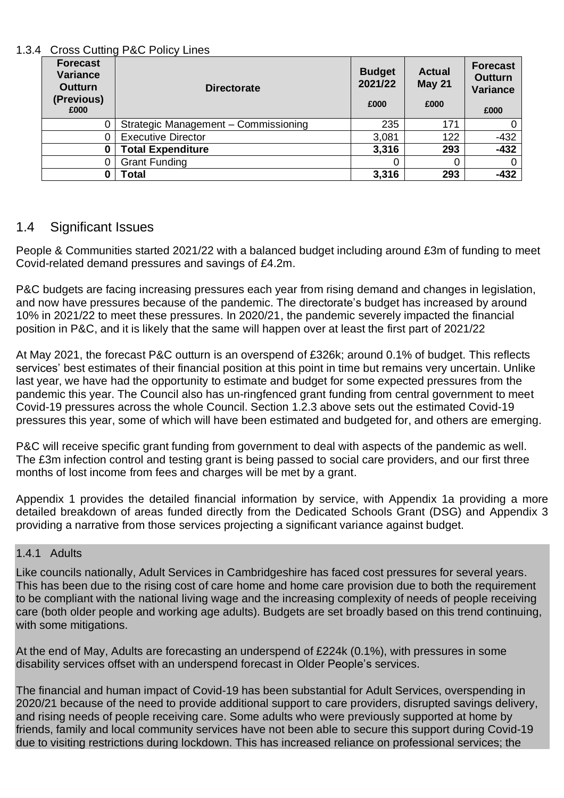#### 1.3.4 Cross Cutting P&C Policy Lines

| <b>Forecast</b><br><b>Variance</b><br><b>Outturn</b><br>(Previous)<br>£000 | <b>Directorate</b>                   | <b>Budget</b><br>2021/22<br>£000 | <b>Actual</b><br>May 21<br>£000 | <b>Forecast</b><br><b>Outturn</b><br><b>Variance</b><br>£000 |
|----------------------------------------------------------------------------|--------------------------------------|----------------------------------|---------------------------------|--------------------------------------------------------------|
| 0                                                                          | Strategic Management - Commissioning | 235                              | 171                             | 0                                                            |
| 0                                                                          | <b>Executive Director</b>            | 3,081                            | 122                             | $-432$                                                       |
| $\bf{0}$                                                                   | <b>Total Expenditure</b>             | 3,316                            | 293                             | $-432$                                                       |
| 0                                                                          | <b>Grant Funding</b>                 | $\Omega$                         |                                 | 0                                                            |
| 0                                                                          | Total                                | 3,316                            | 293                             | -432                                                         |

## 1.4 Significant Issues

People & Communities started 2021/22 with a balanced budget including around £3m of funding to meet Covid-related demand pressures and savings of £4.2m.

P&C budgets are facing increasing pressures each year from rising demand and changes in legislation, and now have pressures because of the pandemic. The directorate's budget has increased by around 10% in 2021/22 to meet these pressures. In 2020/21, the pandemic severely impacted the financial position in P&C, and it is likely that the same will happen over at least the first part of 2021/22

At May 2021, the forecast P&C outturn is an overspend of £326k; around 0.1% of budget. This reflects services' best estimates of their financial position at this point in time but remains very uncertain. Unlike last year, we have had the opportunity to estimate and budget for some expected pressures from the pandemic this year. The Council also has un-ringfenced grant funding from central government to meet Covid-19 pressures across the whole Council. Section 1.2.3 above sets out the estimated Covid-19 pressures this year, some of which will have been estimated and budgeted for, and others are emerging.

P&C will receive specific grant funding from government to deal with aspects of the pandemic as well. The £3m infection control and testing grant is being passed to social care providers, and our first three months of lost income from fees and charges will be met by a grant.

Appendix 1 provides the detailed financial information by service, with Appendix 1a providing a more detailed breakdown of areas funded directly from the Dedicated Schools Grant (DSG) and Appendix 3 providing a narrative from those services projecting a significant variance against budget.

### 1.4.1 Adults

Like councils nationally, Adult Services in Cambridgeshire has faced cost pressures for several years. This has been due to the rising cost of care home and home care provision due to both the requirement to be compliant with the national living wage and the increasing complexity of needs of people receiving care (both older people and working age adults). Budgets are set broadly based on this trend continuing, with some mitigations.

At the end of May, Adults are forecasting an underspend of £224k (0.1%), with pressures in some disability services offset with an underspend forecast in Older People's services.

The financial and human impact of Covid-19 has been substantial for Adult Services, overspending in 2020/21 because of the need to provide additional support to care providers, disrupted savings delivery, and rising needs of people receiving care. Some adults who were previously supported at home by friends, family and local community services have not been able to secure this support during Covid-19 due to visiting restrictions during lockdown. This has increased reliance on professional services; the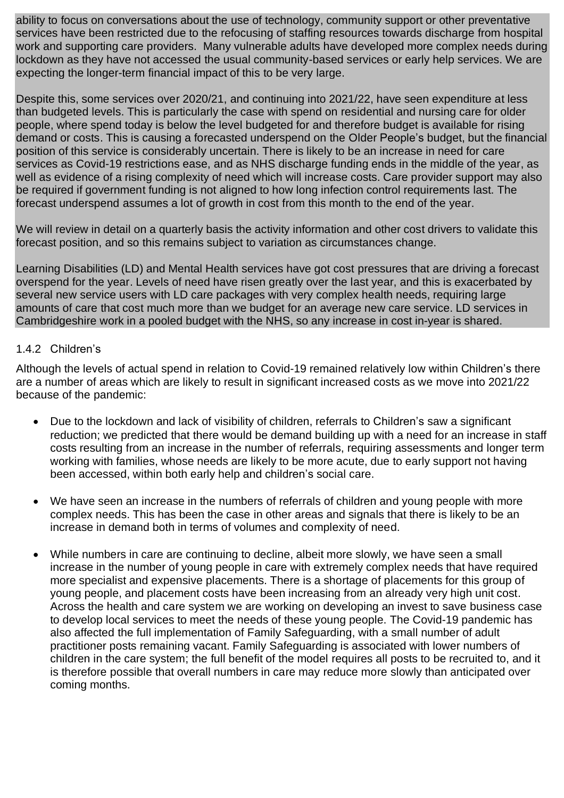ability to focus on conversations about the use of technology, community support or other preventative services have been restricted due to the refocusing of staffing resources towards discharge from hospital work and supporting care providers. Many vulnerable adults have developed more complex needs during lockdown as they have not accessed the usual community-based services or early help services. We are expecting the longer-term financial impact of this to be very large.

Despite this, some services over 2020/21, and continuing into 2021/22, have seen expenditure at less than budgeted levels. This is particularly the case with spend on residential and nursing care for older people, where spend today is below the level budgeted for and therefore budget is available for rising demand or costs. This is causing a forecasted underspend on the Older People's budget, but the financial position of this service is considerably uncertain. There is likely to be an increase in need for care services as Covid-19 restrictions ease, and as NHS discharge funding ends in the middle of the year, as well as evidence of a rising complexity of need which will increase costs. Care provider support may also be required if government funding is not aligned to how long infection control requirements last. The forecast underspend assumes a lot of growth in cost from this month to the end of the year.

We will review in detail on a quarterly basis the activity information and other cost drivers to validate this forecast position, and so this remains subject to variation as circumstances change.

Learning Disabilities (LD) and Mental Health services have got cost pressures that are driving a forecast overspend for the year. Levels of need have risen greatly over the last year, and this is exacerbated by several new service users with LD care packages with very complex health needs, requiring large amounts of care that cost much more than we budget for an average new care service. LD services in Cambridgeshire work in a pooled budget with the NHS, so any increase in cost in-year is shared.

#### 1.4.2 Children's

Although the levels of actual spend in relation to Covid-19 remained relatively low within Children's there are a number of areas which are likely to result in significant increased costs as we move into 2021/22 because of the pandemic:

- Due to the lockdown and lack of visibility of children, referrals to Children's saw a significant reduction; we predicted that there would be demand building up with a need for an increase in staff costs resulting from an increase in the number of referrals, requiring assessments and longer term working with families, whose needs are likely to be more acute, due to early support not having been accessed, within both early help and children's social care.
- We have seen an increase in the numbers of referrals of children and young people with more complex needs. This has been the case in other areas and signals that there is likely to be an increase in demand both in terms of volumes and complexity of need.
- While numbers in care are continuing to decline, albeit more slowly, we have seen a small increase in the number of young people in care with extremely complex needs that have required more specialist and expensive placements. There is a shortage of placements for this group of young people, and placement costs have been increasing from an already very high unit cost. Across the health and care system we are working on developing an invest to save business case to develop local services to meet the needs of these young people. The Covid-19 pandemic has also affected the full implementation of Family Safeguarding, with a small number of adult practitioner posts remaining vacant. Family Safeguarding is associated with lower numbers of children in the care system; the full benefit of the model requires all posts to be recruited to, and it is therefore possible that overall numbers in care may reduce more slowly than anticipated over coming months.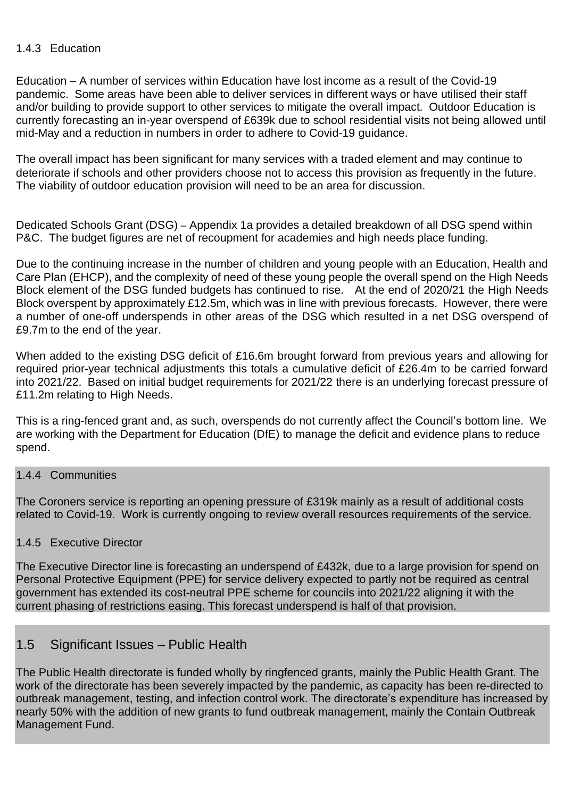#### 1.4.3 Education

Education – A number of services within Education have lost income as a result of the Covid-19 pandemic. Some areas have been able to deliver services in different ways or have utilised their staff and/or building to provide support to other services to mitigate the overall impact. Outdoor Education is currently forecasting an in-year overspend of £639k due to school residential visits not being allowed until mid-May and a reduction in numbers in order to adhere to Covid-19 guidance.

The overall impact has been significant for many services with a traded element and may continue to deteriorate if schools and other providers choose not to access this provision as frequently in the future. The viability of outdoor education provision will need to be an area for discussion.

Dedicated Schools Grant (DSG) – Appendix 1a provides a detailed breakdown of all DSG spend within P&C. The budget figures are net of recoupment for academies and high needs place funding.

Due to the continuing increase in the number of children and young people with an Education, Health and Care Plan (EHCP), and the complexity of need of these young people the overall spend on the High Needs Block element of the DSG funded budgets has continued to rise. At the end of 2020/21 the High Needs Block overspent by approximately £12.5m, which was in line with previous forecasts. However, there were a number of one-off underspends in other areas of the DSG which resulted in a net DSG overspend of £9.7m to the end of the year.

When added to the existing DSG deficit of £16.6m brought forward from previous years and allowing for required prior-year technical adjustments this totals a cumulative deficit of £26.4m to be carried forward into 2021/22. Based on initial budget requirements for 2021/22 there is an underlying forecast pressure of £11.2m relating to High Needs.

This is a ring-fenced grant and, as such, overspends do not currently affect the Council's bottom line. We are working with the Department for Education (DfE) to manage the deficit and evidence plans to reduce spend.

#### 1.4.4 Communities

The Coroners service is reporting an opening pressure of £319k mainly as a result of additional costs related to Covid-19. Work is currently ongoing to review overall resources requirements of the service.

### 1.4.5 Executive Director

The Executive Director line is forecasting an underspend of £432k, due to a large provision for spend on Personal Protective Equipment (PPE) for service delivery expected to partly not be required as central government has extended its cost-neutral PPE scheme for councils into 2021/22 aligning it with the current phasing of restrictions easing. This forecast underspend is half of that provision.

## 1.5 Significant Issues – Public Health

The Public Health directorate is funded wholly by ringfenced grants, mainly the Public Health Grant. The work of the directorate has been severely impacted by the pandemic, as capacity has been re-directed to outbreak management, testing, and infection control work. The directorate's expenditure has increased by nearly 50% with the addition of new grants to fund outbreak management, mainly the Contain Outbreak Management Fund.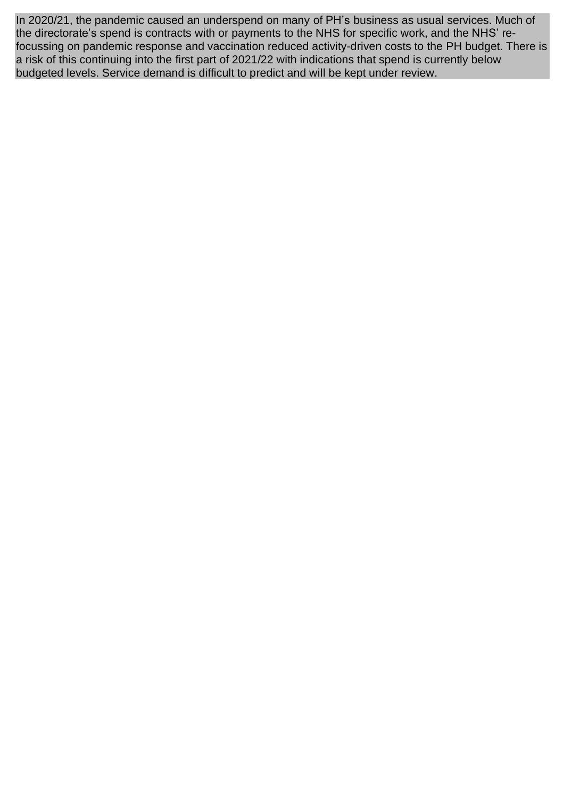In 2020/21, the pandemic caused an underspend on many of PH's business as usual services. Much of the directorate's spend is contracts with or payments to the NHS for specific work, and the NHS' refocussing on pandemic response and vaccination reduced activity-driven costs to the PH budget. There is a risk of this continuing into the first part of 2021/22 with indications that spend is currently below budgeted levels. Service demand is difficult to predict and will be kept under review.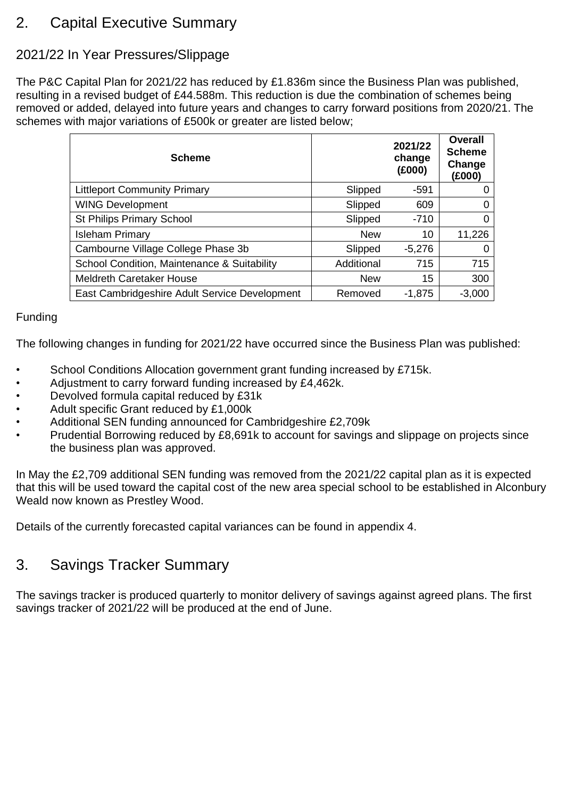# 2. Capital Executive Summary

## 2021/22 In Year Pressures/Slippage

The P&C Capital Plan for 2021/22 has reduced by £1.836m since the Business Plan was published, resulting in a revised budget of £44.588m. This reduction is due the combination of schemes being removed or added, delayed into future years and changes to carry forward positions from 2020/21. The schemes with major variations of £500k or greater are listed below;

| <b>Scheme</b>                                 |            | 2021/22<br>change<br>(£000) | Overall<br><b>Scheme</b><br>Change<br>(£000) |
|-----------------------------------------------|------------|-----------------------------|----------------------------------------------|
| <b>Littleport Community Primary</b>           | Slipped    | -591                        | 0                                            |
| <b>WING Development</b>                       | Slipped    | 609                         | 0                                            |
| St Philips Primary School                     | Slipped    | $-710$                      | 0                                            |
| <b>Isleham Primary</b>                        | <b>New</b> | 10                          | 11,226                                       |
| Cambourne Village College Phase 3b            | Slipped    | $-5,276$                    | 0                                            |
| School Condition, Maintenance & Suitability   | Additional | 715                         | 715                                          |
| <b>Meldreth Caretaker House</b>               | <b>New</b> | 15                          | 300                                          |
| East Cambridgeshire Adult Service Development | Removed    | $-1,875$                    | $-3,000$                                     |

#### Funding

The following changes in funding for 2021/22 have occurred since the Business Plan was published:

- School Conditions Allocation government grant funding increased by £715k.
- Adjustment to carry forward funding increased by £4,462k.
- Devolved formula capital reduced by £31k
- Adult specific Grant reduced by £1,000k
- Additional SEN funding announced for Cambridgeshire £2,709k
- Prudential Borrowing reduced by £8,691k to account for savings and slippage on projects since the business plan was approved.

In May the £2,709 additional SEN funding was removed from the 2021/22 capital plan as it is expected that this will be used toward the capital cost of the new area special school to be established in Alconbury Weald now known as Prestley Wood.

Details of the currently forecasted capital variances can be found in appendix 4.

## 3. Savings Tracker Summary

The savings tracker is produced quarterly to monitor delivery of savings against agreed plans. The first savings tracker of 2021/22 will be produced at the end of June.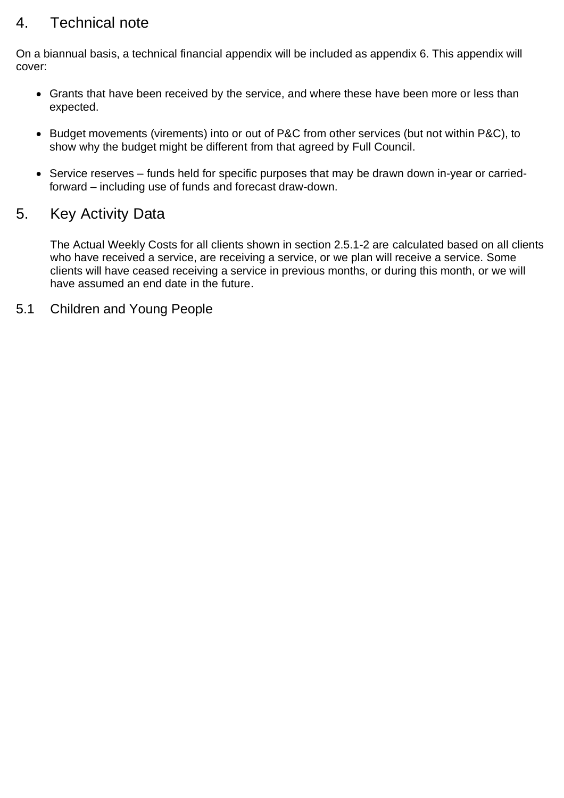# 4. Technical note

On a biannual basis, a technical financial appendix will be included as appendix 6. This appendix will cover:

- Grants that have been received by the service, and where these have been more or less than expected.
- Budget movements (virements) into or out of P&C from other services (but not within P&C), to show why the budget might be different from that agreed by Full Council.
- Service reserves funds held for specific purposes that may be drawn down in-year or carriedforward – including use of funds and forecast draw-down.

## 5. Key Activity Data

The Actual Weekly Costs for all clients shown in section 2.5.1-2 are calculated based on all clients who have received a service, are receiving a service, or we plan will receive a service. Some clients will have ceased receiving a service in previous months, or during this month, or we will have assumed an end date in the future.

5.1 Children and Young People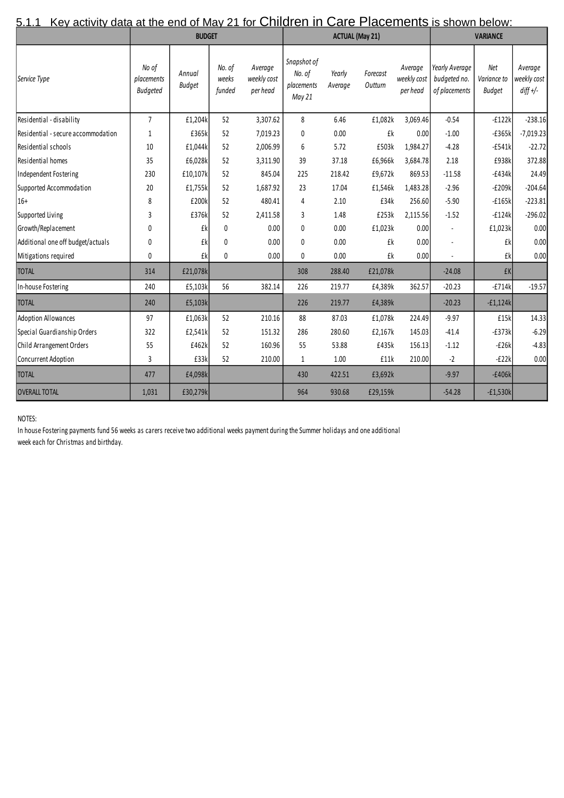| <u>5.1.1</u><br><u>Key activity data at the end of May 21 for Children in Care Placements is shown below:</u> |                                        |                         |                           |                                    |                                               |                        |                     |                                    |                                                 |                              |                                      |
|---------------------------------------------------------------------------------------------------------------|----------------------------------------|-------------------------|---------------------------|------------------------------------|-----------------------------------------------|------------------------|---------------------|------------------------------------|-------------------------------------------------|------------------------------|--------------------------------------|
|                                                                                                               |                                        | <b>BUDGET</b>           |                           |                                    |                                               | <b>ACTUAL (May 21)</b> |                     |                                    | <b>VARIANCE</b>                                 |                              |                                      |
| Service Type                                                                                                  | No of<br>placements<br><b>Budgeted</b> | Annual<br><b>Budget</b> | No. of<br>weeks<br>funded | Average<br>weekly cost<br>per head | Snapshot of<br>No. of<br>placements<br>May 21 | Yearly<br>Average      | Forecast<br>Outturn | Average<br>weekly cost<br>per head | Yearly Average<br>budgeted no.<br>of placements | Net<br>Variance to<br>Budget | Average<br>weekly cost<br>$diff$ +/- |
| Residential - disability                                                                                      | $\overline{7}$                         | £1,204k                 | 52                        | 3,307.62                           | 8                                             | 6.46                   | £1,082k             | 3,069.46                           | $-0.54$                                         | $-f122k$                     | $-238.16$                            |
| Residential - secure accommodation                                                                            | $\mathbf{1}$                           | £365k                   | 52                        | 7,019.23                           | 0                                             | 0.00                   | £k                  | 0.00                               | $-1.00$                                         | $-E365k$                     | $-7,019.23$                          |
| Residential schools                                                                                           | 10                                     | £1,044k                 | 52                        | 2,006.99                           | 6                                             | 5.72                   | £503k               | 1,984.27                           | $-4.28$                                         | $-E541k$                     | $-22.72$                             |
| Residential homes                                                                                             | 35                                     | £6.028k                 | 52                        | 3,311.90                           | 39                                            | 37.18                  | £6,966k             | 3,684.78                           | 2.18                                            | £938k                        | 372.88                               |
| Independent Fostering                                                                                         | 230                                    | £10,107k                | 52                        | 845.04                             | 225                                           | 218.42                 | £9,672k             | 869.53                             | $-11.58$                                        | $-E434k$                     | 24.49                                |
| Supported Accommodation                                                                                       | 20                                     | £1,755k                 | 52                        | 1,687.92                           | 23                                            | 17.04                  | £1,546k             | 1,483.28                           | $-2.96$                                         | $-E209k$                     | $-204.64$                            |
| $ 16+$                                                                                                        | 8                                      | £200k                   | 52                        | 480.41                             | 4                                             | 2.10                   | £34k                | 256.60                             | $-5.90$                                         | $-£165k$                     | $-223.81$                            |
| Supported Living                                                                                              | 3                                      | £376k                   | 52                        | 2,411.58                           | 3                                             | 1.48                   | £253k               | 2,115.56                           | $-1.52$                                         | $-f124k$                     | $-296.02$                            |
| Growth/Replacement                                                                                            | 0                                      | £k                      | $\Omega$                  | 0.00                               | 0                                             | 0.00                   | £1,023k             | 0.00                               |                                                 | £1,023k                      | 0.00                                 |
| Additional one off budget/actuals                                                                             | 0                                      | £k                      | $\mathbf{0}$              | 0.00                               | 0                                             | 0.00                   | £k                  | 0.00                               |                                                 | £k                           | 0.00                                 |
| Mitigations required                                                                                          | 0                                      | £k                      | $\mathbf{0}$              | 0.00                               | 0                                             | 0.00                   | £k                  | 0.00                               |                                                 | £k                           | 0.00                                 |
| <b>TOTAL</b>                                                                                                  | 314                                    | £21,078k                |                           |                                    | 308                                           | 288.40                 | £21,078k            |                                    | $-24.08$                                        | £K                           |                                      |
| In-house Fostering                                                                                            | 240                                    | £5,103k                 | 56                        | 382.14                             | 226                                           | 219.77                 | £4,389k             | 362.57                             | $-20.23$                                        | $-E714k$                     | $-19.57$                             |
| <b>TOTAL</b>                                                                                                  | 240                                    | £5,103k                 |                           |                                    | 226                                           | 219.77                 | £4,389k             |                                    | $-20.23$                                        | $-f1,124k$                   |                                      |
| Adoption Allowances                                                                                           | 97                                     | £1,063k                 | 52                        | 210.16                             | 88                                            | 87.03                  | £1,078k             | 224.49                             | $-9.97$                                         | £15k                         | 14.33                                |
| Special Guardianship Orders                                                                                   | 322                                    | £2,541k                 | 52                        | 151.32                             | 286                                           | 280.60                 | £2,167k             | 145.03                             | $-41.4$                                         | $-E373k$                     | $-6.29$                              |
| Child Arrangement Orders                                                                                      | 55                                     | £462k                   | 52                        | 160.96                             | 55                                            | 53.88                  | £435k               | 156.13                             | $-1.12$                                         | $-E26k$                      | $-4.83$                              |
| Concurrent Adoption                                                                                           | 3                                      | £33k                    | 52                        | 210.00                             | 1                                             | 1.00                   | £11k                | 210.00                             | $-2$                                            | $-E22k$                      | 0.00                                 |
| <b>TOTAL</b>                                                                                                  | 477                                    | £4,098k                 |                           |                                    | 430                                           | 422.51                 | £3,692k             |                                    | $-9.97$                                         | $-£406k$                     |                                      |
| <b>OVERALL TOTAL</b>                                                                                          | 1,031                                  | £30,279k                |                           |                                    | 964                                           | 930.68                 | £29,159k            |                                    | $-54.28$                                        | $-f1,530k$                   |                                      |

## $5.1.1$  Key activity data at the end of May 21 for Children in Care Placements is shown below:

#### NOTES:

In house Fostering payments fund 56 weeks as carers receive two additional weeks payment during the Summer holidays and one additional week each for Christmas and birthday.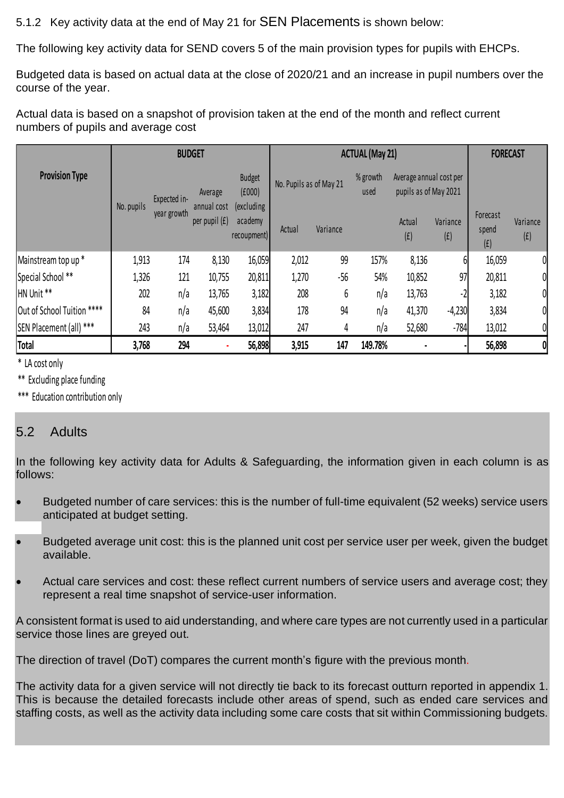5.1.2 Key activity data at the end of May 21 for SEN Placements is shown below:

The following key activity data for SEND covers 5 of the main provision types for pupils with EHCPs.

Budgeted data is based on actual data at the close of 2020/21 and an increase in pupil numbers over the course of the year.

Actual data is based on a snapshot of provision taken at the end of the month and reflect current numbers of pupils and average cost

|                            |                                                      | <b>BUDGET</b> |                                       |                         |        | <b>ACTUAL (May 21)</b> |                                                  |               |                 |                          | <b>FORECAST</b> |  |
|----------------------------|------------------------------------------------------|---------------|---------------------------------------|-------------------------|--------|------------------------|--------------------------------------------------|---------------|-----------------|--------------------------|-----------------|--|
| <b>Provision Type</b>      | Average<br>Expected in-<br>No. pupils<br>annual cost |               | <b>Budget</b><br>(f000)<br>(excluding | No. Pupils as of May 21 |        | % growth<br>used       | Average annual cost per<br>pupils as of May 2021 |               |                 |                          |                 |  |
|                            |                                                      | year growth   | per pupil (£)                         | academy<br>recoupment)  | Actual | Variance               |                                                  | Actual<br>(f) | Variance<br>(f) | Forecast<br>spend<br>(f) | Variance<br>(f) |  |
| Mainstream top up *        | 1,913                                                | 174           | 8,130                                 | 16,059                  | 2,012  | 99                     | 157%                                             | 8,136         | 6               | 16,059                   | 0               |  |
| Special School **          | 1,326                                                | 121           | 10,755                                | 20,811                  | 1,270  | $-56$                  | 54%                                              | 10,852        | 97              | 20,811                   | 0               |  |
| HN Unit <sup>**</sup>      | 202                                                  | n/a           | 13,765                                | 3,182                   | 208    | 6                      | n/a                                              | 13,763        |                 | 3,182                    | 0               |  |
| Out of School Tuition **** | 84                                                   | n/a           | 45,600                                | 3,834                   | 178    | 94                     | n/a                                              | 41,370        | $-4,230$        | 3,834                    | 0               |  |
| SEN Placement (all) ***    | 243                                                  | n/a           | 53,464                                | 13,012                  | 247    | 4                      | n/a                                              | 52,680        | $-784$          | 13,012                   | 0               |  |
| Total                      | 3,768                                                | 294           |                                       | 56,898                  | 3,915  | 147                    | 149.78%                                          |               |                 | 56,898                   |                 |  |

\* LA cost only

\*\* Excluding place funding

\*\*\* Education contribution only

## 5.2 Adults

In the following key activity data for Adults & Safeguarding, the information given in each column is as follows:

- Budgeted number of care services: this is the number of full-time equivalent (52 weeks) service users anticipated at budget setting.
- Budgeted average unit cost: this is the planned unit cost per service user per week, given the budget available.
- Actual care services and cost: these reflect current numbers of service users and average cost; they represent a real time snapshot of service-user information.

A consistent format is used to aid understanding, and where care types are not currently used in a particular service those lines are greyed out.

The direction of travel (DoT) compares the current month's figure with the previous month.

The activity data for a given service will not directly tie back to its forecast outturn reported in appendix 1. This is because the detailed forecasts include other areas of spend, such as ended care services and staffing costs, as well as the activity data including some care costs that sit within Commissioning budgets.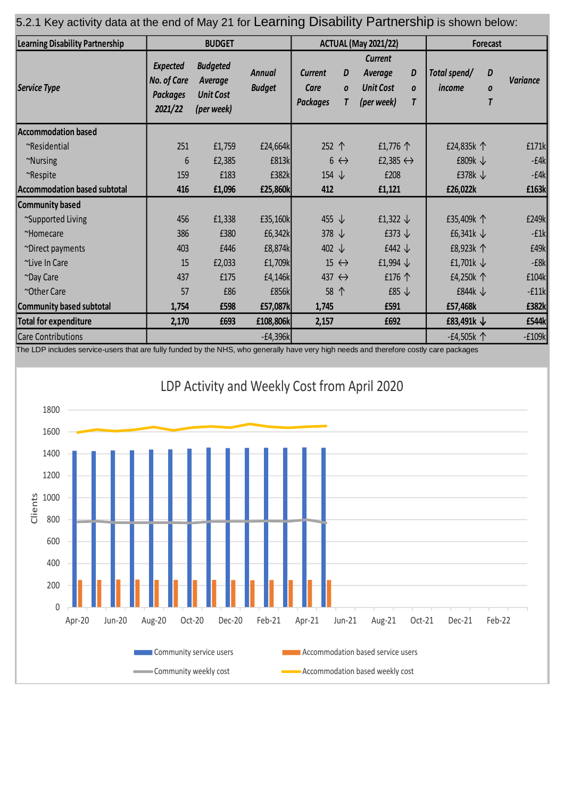## 5.2.1 Key activity data at the end of May 21 for Learning Disability Partnership is shown below:

| Learning Disability Partnership     |                                                                     | <b>BUDGET</b>                                                |                                |                                           |                            | <b>ACTUAL (May 2021/22)</b>                                 |             | Forecast               |                       |                 |
|-------------------------------------|---------------------------------------------------------------------|--------------------------------------------------------------|--------------------------------|-------------------------------------------|----------------------------|-------------------------------------------------------------|-------------|------------------------|-----------------------|-----------------|
| Service Type                        | <b>Expected</b><br><b>No. of Care</b><br><b>Packages</b><br>2021/22 | <b>Budgeted</b><br>Average<br><b>Unit Cost</b><br>(per week) | <b>Annual</b><br><b>Budget</b> | <b>Current</b><br>Care<br><b>Packages</b> | D<br>$\boldsymbol{o}$<br>T | Current<br><b>Average</b><br><b>Unit Cost</b><br>(per week) | D<br>0<br>T | Total spend/<br>income | D<br>$\boldsymbol{0}$ | <b>Variance</b> |
| <b>Accommodation based</b>          |                                                                     |                                                              |                                |                                           |                            |                                                             |             |                        |                       |                 |
| ~Residential                        | 251                                                                 | £1,759                                                       | £24,664k                       | 252 个                                     |                            | £1,776 $\uparrow$                                           |             | £24,835k 个             |                       | £171k           |
| ~Nursing                            | $6\phantom{.}6$                                                     | £2,385                                                       | £813k                          |                                           | $6 \leftrightarrow$        | £2,385 $\leftrightarrow$                                    |             | £809 $k \downarrow$    |                       | $-E4k$          |
| ~Respite                            | 159                                                                 | £183                                                         | £382k                          | 154 $\downarrow$                          |                            | £208                                                        |             | £378 $k \downarrow$    |                       | $-f4k$          |
| <b>Accommodation based subtotal</b> | 416                                                                 | £1,096                                                       | £25,860k                       | 412                                       |                            | £1,121                                                      |             | £26,022k               |                       | £163k           |
| Community based                     |                                                                     |                                                              |                                |                                           |                            |                                                             |             |                        |                       |                 |
| ~Supported Living                   | 456                                                                 | £1,338                                                       | £35,160k                       | 455 $\downarrow$                          |                            | £1,322 $\downarrow$                                         |             | £35,409k 个             |                       | £249k           |
| ~Homecare                           | 386                                                                 | £380                                                         | £6,342k                        | 378 $\downarrow$                          |                            | £373 $\downarrow$                                           |             | £6,341 $k \downarrow$  |                       | $-E1k$          |
| ~Direct payments                    | 403                                                                 | £446                                                         | £8,874k                        | 402 $\downarrow$                          |                            | £442 $\downarrow$                                           |             | £8,923k 个              |                       | £49k            |
| ~Live In Care                       | 15                                                                  | £2,033                                                       | £1,709k                        |                                           | 15 $\leftrightarrow$       | £1,994 $\downarrow$                                         |             | £1,701 $k \downarrow$  |                       | $-E8k$          |
| ~Day Care                           | 437                                                                 | £175                                                         | £4,146k                        | 437 $\leftrightarrow$                     |                            | £176 个                                                      |             | £4,250k 个              |                       | £104k           |
| ~Other Care                         | 57                                                                  | £86                                                          | £856k                          | 58 个                                      |                            | £85 $\downarrow$                                            |             | £844 $k \downarrow$    |                       | $-f11k$         |
| Community based subtotal            | 1,754                                                               | £598                                                         | £57,087k                       | 1,745                                     |                            | £591                                                        |             | £57,468k               |                       | £382k           |
| <b>Total for expenditure</b>        | 2,170                                                               | £693                                                         | £108,806k                      | 2,157                                     |                            | £692                                                        |             | £83,491 $k \downarrow$ |                       | £544k           |
| <b>Care Contributions</b>           |                                                                     |                                                              | $-E4,396k$                     |                                           |                            |                                                             |             | -£4,505 $k$ 个          |                       | $-f109k$        |

-users that are fully funded by the NHS, who generally have very high needs and therefore costly care package

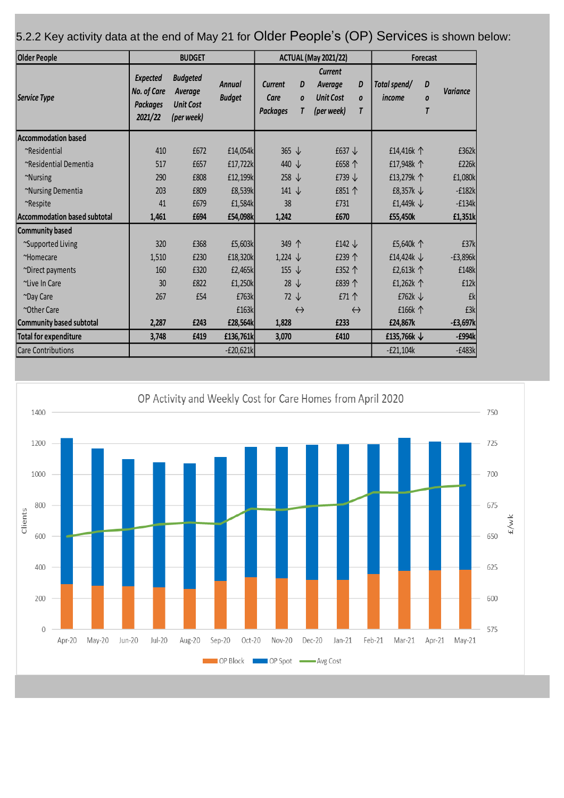| <b>Older People</b>          |                                                              | <b>BUDGET</b>                                                |                                |                                    |                            | <b>ACTUAL (May 2021/22)</b>                                                                            | Forecast                |                                         |                 |
|------------------------------|--------------------------------------------------------------|--------------------------------------------------------------|--------------------------------|------------------------------------|----------------------------|--------------------------------------------------------------------------------------------------------|-------------------------|-----------------------------------------|-----------------|
| Service Type                 | <b>Expected</b><br>No. of Care<br><b>Packaaes</b><br>2021/22 | <b>Budgeted</b><br>Average<br><b>Unit Cost</b><br>(per week) | <b>Annual</b><br><b>Budget</b> | Current<br>Care<br><b>Packages</b> | D<br>$\boldsymbol{0}$<br>T | <b>Current</b><br>D<br>Average<br><b>Unit Cost</b><br>$\boldsymbol{0}$<br>(per week)<br>$\overline{I}$ | Total spend/<br>income  | D<br>$\boldsymbol{0}$<br>$\overline{I}$ | <b>Variance</b> |
| Accommodation based          |                                                              |                                                              |                                |                                    |                            |                                                                                                        |                         |                                         |                 |
| ~Residential                 | 410                                                          | £672                                                         | £14,054k                       | 365 $\downarrow$                   |                            | £637 $\downarrow$                                                                                      | £14,416k 个              |                                         | £362k           |
| ~Residential Dementia        | 517                                                          | £657                                                         | £17,722k                       | 440 $\downarrow$                   |                            | £658 个                                                                                                 | £17,948k 个              |                                         | £226k           |
| ~Nursing                     | 290                                                          | £808                                                         | £12,199k                       | 258 $\downarrow$                   |                            | £739 $\downarrow$                                                                                      | £13,279k 个              |                                         | £1,080k         |
| ~Nursing Dementia            | 203                                                          | £809                                                         | £8,539k                        | 141 $\downarrow$                   |                            | £851 个                                                                                                 | £8,357 $k \downarrow$   |                                         | $-f182k$        |
| ~Respite                     | 41                                                           | £679                                                         | £1,584k                        | 38                                 |                            | £731                                                                                                   | £1,449 $k \downarrow$   |                                         | $-f134k$        |
| Accommodation based subtotal | 1,461                                                        | £694                                                         | £54,098k                       | 1,242                              |                            | £670                                                                                                   | £55,450k                |                                         | £1,351k         |
| Community based              |                                                              |                                                              |                                |                                    |                            |                                                                                                        |                         |                                         |                 |
| ~Supported Living            | 320                                                          | £368                                                         | £5,603k                        | 349 个                              |                            | £142 $\downarrow$                                                                                      | £5,640k 个               |                                         | £37k            |
| ~Homecare                    | 1,510                                                        | £230                                                         | £18,320k                       | $1,224 \downarrow$                 |                            | £239个                                                                                                  | £14,424 $k \downarrow$  |                                         | $-E3,896k$      |
| ~Direct payments             | 160                                                          | £320                                                         | £2,465k                        | 155 $\downarrow$                   |                            | £352 个                                                                                                 | £2,613k 个               |                                         | £148k           |
| ~Live In Care                | 30                                                           | £822                                                         | £1,250k                        | $28 \downarrow$                    |                            | £839 个                                                                                                 | £1,262k 个               |                                         | £12k            |
| ~Day Care                    | 267                                                          | £54                                                          | £763k                          | $72 \downarrow$                    |                            | £71个                                                                                                   | £762 $k \downarrow$     |                                         | £k              |
| ~Other Care                  |                                                              |                                                              | £163k                          |                                    | $\leftrightarrow$          | $\leftrightarrow$                                                                                      | £166k 个                 |                                         | £3k             |
| Community based subtotal     | 2,287                                                        | £243                                                         | £28,564k                       | 1,828                              |                            | £233                                                                                                   | £24,867k                |                                         | $-E3,697k$      |
| <b>Total for expenditure</b> | 3,748                                                        | £419                                                         | £136,761k                      | 3,070                              |                            | £410                                                                                                   | £135,766 $k \downarrow$ |                                         | $-E994k$        |
| <b>Care Contributions</b>    |                                                              |                                                              | $-E20,621k$                    |                                    |                            |                                                                                                        | $-E21,104k$             |                                         | $-E483k$        |

5.2.2 Key activity data at the end of May 21 for Older People's (OP) Services is shown below:

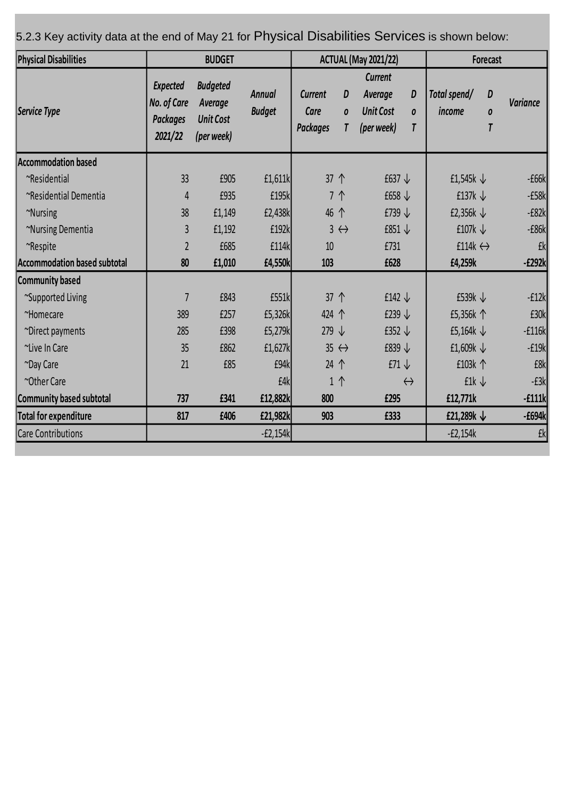| <b>Physical Disabilities</b>        |                                                              | <b>ACTUAL (May 2021/22)</b>                                  |                                |                                           |                     | Forecast                                                    |                          |                          |             |                 |
|-------------------------------------|--------------------------------------------------------------|--------------------------------------------------------------|--------------------------------|-------------------------------------------|---------------------|-------------------------------------------------------------|--------------------------|--------------------------|-------------|-----------------|
| Service Type                        | <b>Expected</b><br>No. of Care<br><b>Packages</b><br>2021/22 | <b>Budgeted</b><br>Average<br><b>Unit Cost</b><br>(per week) | <b>Annual</b><br><b>Budget</b> | <b>Current</b><br>Care<br><b>Packages</b> | D<br>0<br>T         | <b>Current</b><br>Average<br><b>Unit Cost</b><br>(per week) | D<br>0<br>$\overline{I}$ | Total spend/<br>income   | D<br>0<br>T | <b>Variance</b> |
| <b>Accommodation based</b>          |                                                              |                                                              |                                |                                           |                     |                                                             |                          |                          |             |                 |
| ~Residential                        | 33                                                           | £905                                                         | £1,611k                        | 37 个                                      |                     | £637 $\downarrow$                                           |                          | £1,545 $k \downarrow$    |             | $-£66k$         |
| ~Residential Dementia               | $\overline{4}$                                               | £935                                                         | £195k                          | 7个                                        |                     | £658 $\downarrow$                                           |                          | £137 $k \downarrow$      |             | $-E58k$         |
| ~Nursing                            | 38                                                           | £1,149                                                       | £2,438k                        | 46 个                                      |                     | £739 $\downarrow$                                           |                          | £2,356 $k \downarrow$    |             | $-E82k$         |
| ~Nursing Dementia                   | $\overline{3}$                                               | £1,192                                                       | £192k                          |                                           | $3 \leftrightarrow$ | £851 $\downarrow$                                           |                          | £107 $k \downarrow$      |             | $-E86k$         |
| ~Respite                            | $\overline{2}$                                               | £685                                                         | £114k                          | 10                                        |                     | £731                                                        |                          | £114 $k \leftrightarrow$ |             | £k              |
| <b>Accommodation based subtotal</b> | 80                                                           | £1,010                                                       | £4,550k                        | 103                                       |                     | £628                                                        |                          | £4,259k                  |             | $-E292k$        |
| Community based                     |                                                              |                                                              |                                |                                           |                     |                                                             |                          |                          |             |                 |
| ~Supported Living                   | $\overline{7}$                                               | £843                                                         | £551k                          | 37 个                                      |                     | £142 $\downarrow$                                           |                          | £539 $k \downarrow$      |             | $-f12k$         |
| ~Homecare                           | 389                                                          | £257                                                         | £5,326k                        | 424 个                                     |                     | £239 $\downarrow$                                           |                          | £5,356k 个                |             | £30k            |
| ~Direct payments                    | 285                                                          | £398                                                         | £5,279k                        | 279 $\downarrow$                          |                     | £352 $\downarrow$                                           |                          | £5,164 $k \downarrow$    |             | $-f116k$        |
| ~Live In Care                       | 35                                                           | £862                                                         | £1,627k                        | $35 \leftrightarrow$                      |                     | £839 $\downarrow$                                           |                          | £1,609 $k \downarrow$    |             | $-E19k$         |
| ~Day Care                           | 21                                                           | £85                                                          | £94k                           | 24 个                                      |                     | £71 $\downarrow$                                            |                          | £103k 个                  |             | £8k             |
| ~Other Care                         |                                                              |                                                              | £4k                            | 1个                                        |                     |                                                             | $\leftrightarrow$        | £1 $k \downarrow$        |             | $-E3k$          |
| Community based subtotal            | 737                                                          | £341                                                         | £12,882k                       | 800                                       |                     | £295                                                        |                          | £12,771k                 |             | $-f111k$        |
| <b>Total for expenditure</b>        | 817                                                          | £406                                                         | £21,982k                       | 903                                       |                     | £333                                                        |                          | £21,289 $k \downarrow$   |             | $-E694k$        |
| <b>Care Contributions</b>           |                                                              |                                                              | $-E2,154k$                     |                                           |                     |                                                             |                          | $-E2,154k$               |             | <b>£k</b>       |

5.2.3 Key activity data at the end of May 21 for Physical Disabilities Services is shown below: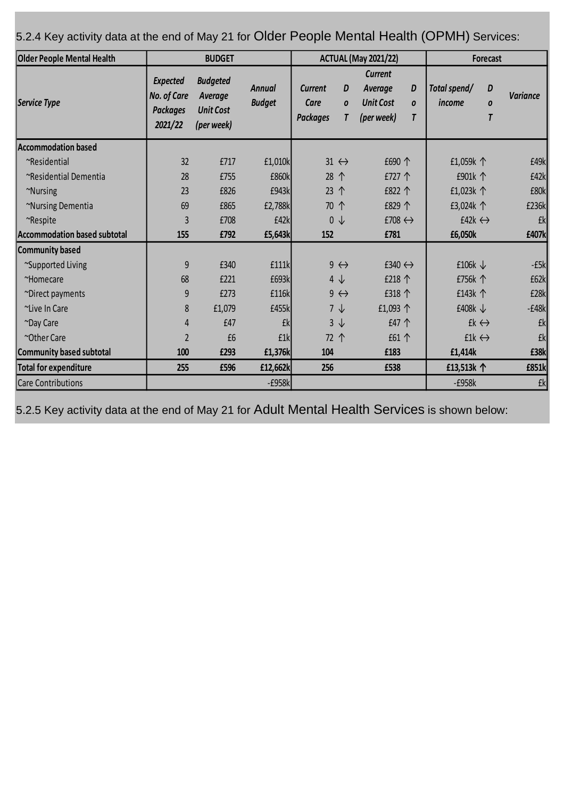5.2.4 Key activity data at the end of May 21 for Older People Mental Health (OPMH) Services:

| <b>Older People Mental Health</b> |                                                                     | <b>BUDGET</b>                                                |                                | <b>ACTUAL (May 2021/22)</b>               |                            |                                                             | Forecast                   |                         |                          |                 |
|-----------------------------------|---------------------------------------------------------------------|--------------------------------------------------------------|--------------------------------|-------------------------------------------|----------------------------|-------------------------------------------------------------|----------------------------|-------------------------|--------------------------|-----------------|
| Service Type                      | <b>Expected</b><br><b>No. of Care</b><br><b>Packages</b><br>2021/22 | <b>Budgeted</b><br>Average<br><b>Unit Cost</b><br>(per week) | <b>Annual</b><br><b>Budget</b> | <b>Current</b><br>Care<br><b>Packages</b> | D<br>$\boldsymbol{0}$<br>T | <b>Current</b><br>Average<br><b>Unit Cost</b><br>(per week) | D<br>$\boldsymbol{0}$<br>T | Total spend/<br>income  | D<br>0<br>$\overline{I}$ | <b>Variance</b> |
| <b>Accommodation based</b>        |                                                                     |                                                              |                                |                                           |                            |                                                             |                            |                         |                          |                 |
| ~Residential                      | 32                                                                  | £717                                                         | £1,010k                        | $31 \leftrightarrow$                      |                            | £690 个                                                      |                            | £1,059k 个               |                          | £49k            |
| ~Residential Dementia             | 28                                                                  | £755                                                         | £860k                          | 28 个                                      |                            | £727 个                                                      |                            | £901k 个                 |                          | £42k            |
| ~Nursing                          | 23                                                                  | £826                                                         | £943k                          | 23 个                                      |                            | £822 个                                                      |                            | £1,023k 个               |                          | £80k            |
| ~Nursing Dementia                 | 69                                                                  | £865                                                         | £2,788k                        | 70 个                                      |                            | £829 个                                                      |                            | £3,024 $k \uparrow$     |                          | £236k           |
| ~Respite                          | 3                                                                   | £708                                                         | £42k                           |                                           | $0 \downarrow$             | £708 $\leftrightarrow$                                      |                            | £42 $k \leftrightarrow$ |                          | £k              |
| Accommodation based subtotal      | 155                                                                 | £792                                                         | £5,643k                        | 152                                       |                            | £781                                                        |                            | £6,050k                 |                          | £407k           |
| Community based                   |                                                                     |                                                              |                                |                                           |                            |                                                             |                            |                         |                          |                 |
| ~Supported Living                 | 9                                                                   | £340                                                         | £111k                          |                                           | $9 \leftrightarrow$        | £340 $\leftrightarrow$                                      |                            | £106 $k \downarrow$     |                          | $-E5k$          |
| ~Homecare                         | 68                                                                  | £221                                                         | £693k                          |                                           | $4 \downarrow$             | £218 个                                                      |                            | £756k 个                 |                          | £62k            |
| ~Direct payments                  | 9                                                                   | £273                                                         | £116k                          |                                           | $9 \leftrightarrow$        | £318 个                                                      |                            | £143k 个                 |                          | £28k            |
| ~Live In Care                     | 8                                                                   | £1,079                                                       | £455k                          |                                           | $7 \downarrow$             | £1,093 $\uparrow$                                           |                            | £408 $k \downarrow$     |                          | $-E48k$         |
| ~Day Care                         | 4                                                                   | £47                                                          | £k                             |                                           | $3 \downarrow$             | £47 个                                                       |                            |                         | $fk \leftrightarrow$     | £k              |
| ~Other Care                       | $\overline{2}$                                                      | £6                                                           | £1k                            | 72 个                                      |                            | £61 个                                                       |                            | $f1k \leftrightarrow$   |                          | £k              |
| Community based subtotal          | 100                                                                 | £293                                                         | £1,376k                        | 104                                       |                            | £183                                                        |                            | £1,414k                 |                          | £38k            |
| Total for expenditure             | 255                                                                 | £596                                                         | £12,662k                       | 256                                       |                            | £538                                                        |                            | £13,513k 个              |                          | £851k           |
| Care Contributions                |                                                                     |                                                              | $-E958k$                       |                                           |                            |                                                             |                            | $-E958k$                |                          | £k              |

5.2.5 Key activity data at the end of May 21 for Adult Mental Health Services is shown below: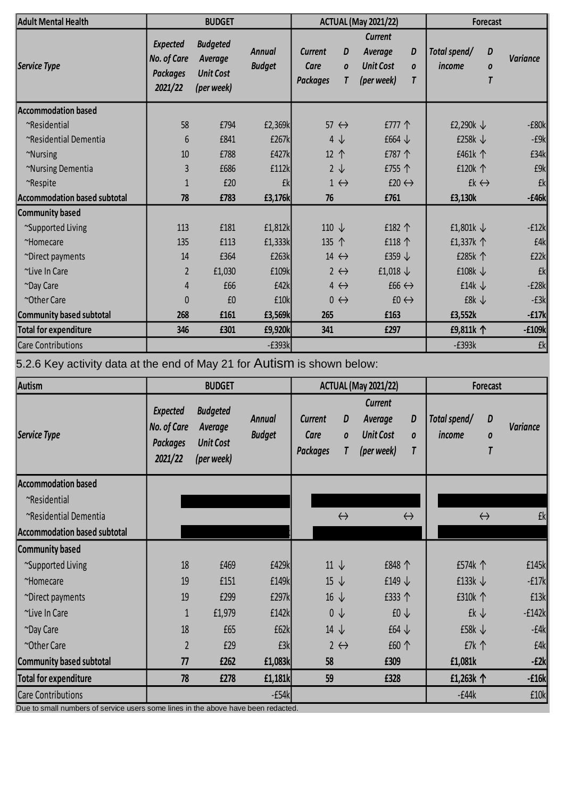| <b>Adult Mental Health</b>          |                                                              | <b>BUDGET</b>                                                |                                |                                           |                            | <b>ACTUAL (May 2021/22)</b>                                 |                                         | Forecast               |                          |                 |
|-------------------------------------|--------------------------------------------------------------|--------------------------------------------------------------|--------------------------------|-------------------------------------------|----------------------------|-------------------------------------------------------------|-----------------------------------------|------------------------|--------------------------|-----------------|
| Service Type                        | <b>Expected</b><br>No. of Care<br><b>Packages</b><br>2021/22 | <b>Budgeted</b><br>Average<br><b>Unit Cost</b><br>(per week) | <b>Annual</b><br><b>Budget</b> | <b>Current</b><br>Care<br><b>Packages</b> | D<br>$\boldsymbol{0}$<br>T | <b>Current</b><br>Average<br><b>Unit Cost</b><br>(per week) | D<br>$\boldsymbol{0}$<br>$\overline{I}$ | Total spend/<br>income | D<br>0<br>$\overline{I}$ | <b>Variance</b> |
| <b>Accommodation based</b>          |                                                              |                                                              |                                |                                           |                            |                                                             |                                         |                        |                          |                 |
| ~Residential                        | 58                                                           | £794                                                         | £2,369k                        |                                           | $57 \leftrightarrow$       | £777 个                                                      |                                         | £2,290 $k \downarrow$  |                          | $-E80k$         |
| ~Residential Dementia               | 6                                                            | £841                                                         | £267k                          |                                           | $4 \downarrow$             | £664 $\downarrow$                                           |                                         | £258 $k \downarrow$    |                          | $-E9k$          |
| ~Nursing                            | 10                                                           | £788                                                         | £427k                          |                                           | 12 个<br>£787 个             |                                                             | £461k 个                                 |                        | £34k                     |                 |
| ~Nursing Dementia                   | 3                                                            | £686                                                         | £112k                          |                                           | $2 \downarrow$             | £755 个                                                      |                                         | £120k 个                |                          | £9k             |
| ~Respite                            | $\mathbf{1}$                                                 | £20                                                          | £k                             |                                           | $1 \leftrightarrow$        |                                                             | £20 $\leftrightarrow$                   |                        | £ $k \leftrightarrow$    | £k              |
| <b>Accommodation based subtotal</b> | 78                                                           | £783                                                         | £3,176k                        | 76                                        |                            | £761                                                        |                                         | £3,130k                |                          | $-E46k$         |
| <b>Community based</b>              |                                                              |                                                              |                                |                                           |                            |                                                             |                                         |                        |                          |                 |
| ~Supported Living                   | 113                                                          | £181                                                         | £1,812k                        | 110 $\downarrow$                          |                            | £182 个                                                      |                                         | £1,801 $k \downarrow$  |                          | $-f12k$         |
| ~Homecare                           | 135                                                          | £113                                                         | £1,333k                        | 135 个                                     |                            | £118 $\uparrow$                                             |                                         | £1,337 $k \uparrow$    |                          | £4k             |
| ~Direct payments                    | 14                                                           | £364                                                         | £263k                          |                                           | 14 $\leftrightarrow$       | £359 $\downarrow$                                           |                                         | £285k 个                |                          | £22k            |
| ~Live In Care                       | $\overline{2}$                                               | £1,030                                                       | £109k                          |                                           | $2 \leftrightarrow$        | £1,018 $\downarrow$                                         |                                         | £108 $k \downarrow$    |                          | £k              |
| ~Day Care                           | $\overline{4}$                                               | £66                                                          | £42k                           |                                           | $4 \leftrightarrow$        | $f66 \leftrightarrow$                                       |                                         | £14 $k \downarrow$     |                          | $-E28k$         |
| ~Other Care                         | $\pmb{0}$                                                    | £0                                                           | £10k                           |                                           | $0 \leftrightarrow$        |                                                             | $f0 \leftrightarrow$                    | £8 $k \downarrow$      |                          | $-E3k$          |
| <b>Community based subtotal</b>     | 268                                                          | £161                                                         | £3,569k                        | 265                                       |                            | £163                                                        |                                         | £3,552k                |                          | $-E17k$         |
| <b>Total for expenditure</b>        | 346                                                          | £301                                                         | £9,920k                        | 341                                       |                            | £297                                                        |                                         | £9,811k 个              |                          | $-E109k$        |
| <b>Care Contributions</b>           |                                                              |                                                              | $-E393k$                       |                                           |                            |                                                             |                                         | $-E393k$               |                          | £k              |

5.2.6 Key activity data at the end of May 21 for Autism is shown below:

| Autism                       |                                                              | <b>BUDGET</b>                                                |                                | <b>ACTUAL (May 2021/22)</b>               |                            |                                                      |                                         | Forecast               |                   |                 |
|------------------------------|--------------------------------------------------------------|--------------------------------------------------------------|--------------------------------|-------------------------------------------|----------------------------|------------------------------------------------------|-----------------------------------------|------------------------|-------------------|-----------------|
| Service Type                 | <b>Expected</b><br>No. of Care<br><b>Packages</b><br>2021/22 | <b>Budgeted</b><br>Average<br><b>Unit Cost</b><br>(per week) | <b>Annual</b><br><b>Budget</b> | <b>Current</b><br>Care<br><b>Packages</b> | D<br>$\boldsymbol{0}$<br>T | Current<br>Average<br><b>Unit Cost</b><br>(per week) | D<br>$\boldsymbol{0}$<br>$\overline{I}$ | Total spend/<br>income | D<br>0            | <b>Variance</b> |
| Accommodation based          |                                                              |                                                              |                                |                                           |                            |                                                      |                                         |                        |                   |                 |
| ~Residential                 |                                                              |                                                              |                                |                                           |                            |                                                      |                                         |                        |                   |                 |
| ~Residential Dementia        |                                                              |                                                              |                                |                                           | $\leftrightarrow$          | $\leftrightarrow$                                    |                                         |                        | $\leftrightarrow$ | £k              |
| Accommodation based subtotal |                                                              |                                                              |                                |                                           |                            |                                                      |                                         |                        |                   |                 |
| Community based              |                                                              |                                                              |                                |                                           |                            |                                                      |                                         |                        |                   |                 |
| ~Supported Living            | 18                                                           | £469                                                         | £429k                          |                                           | $11 \downarrow$            | £848 个                                               |                                         | £574k 个                |                   | £145k           |
| ~Homecare                    | 19                                                           | £151                                                         | £149k                          |                                           | $15 \downarrow$            | £149 $\downarrow$                                    |                                         | £133 $k \downarrow$    |                   | $-f17k$         |
| ~Direct payments             | 19                                                           | £299                                                         | £297k                          |                                           | $16 \downarrow$            | £333 个                                               |                                         | £310k 个                |                   | E13k            |
| ~Live In Care                | $\mathbf{1}$                                                 | £1,979                                                       | £142k                          |                                           | $0 \downarrow$             | $f0 \downarrow$                                      |                                         | £k↓                    |                   | $-f142k$        |
| ~Day Care                    | 18                                                           | £65                                                          | £62k                           |                                           | $14 \downarrow$            | £64 $\downarrow$                                     |                                         | £58 $k \downarrow$     |                   | $-f4k$          |
| ~Other Care                  | $\overline{2}$                                               | £29                                                          | £3k                            |                                           | $2 \leftrightarrow$        | £60 个                                                |                                         | $E7k$ $\uparrow$       |                   | £4k             |
| Community based subtotal     | 77                                                           | £262                                                         | £1,083k                        | 58                                        |                            | £309                                                 |                                         | £1,081k                |                   | $-E2k$          |
| Total for expenditure        | 78                                                           | £278                                                         | £1,181k                        | 59                                        |                            | £328                                                 |                                         | £1,263k 个              |                   | $-£16k$         |
| Care Contributions           |                                                              |                                                              | $-E54k$                        |                                           |                            |                                                      |                                         | $-f44k$                |                   | £10k            |

Due to small numbers of service users some lines in the above have been redacted.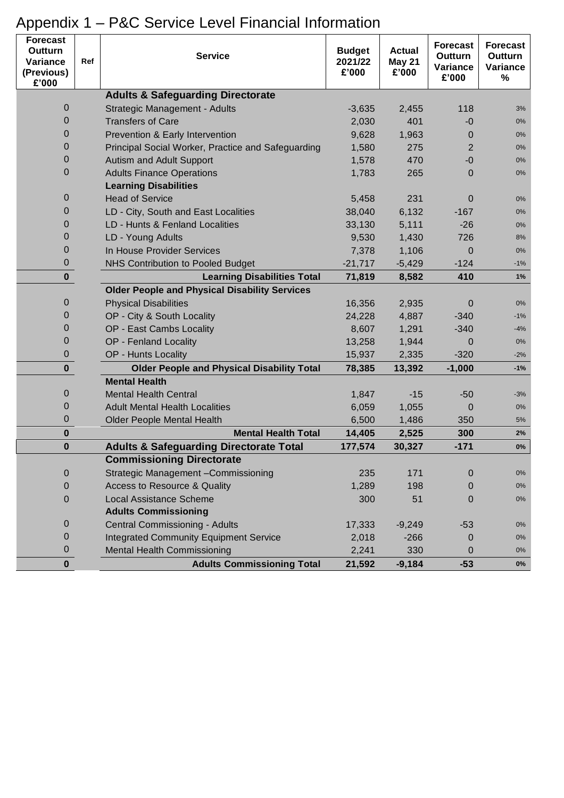| <b>Forecast</b><br>Outturn<br>Variance<br>(Previous)<br>£'000 | Ref | <b>Service</b>                                       | <b>Budget</b><br>2021/22<br>£'000 | <b>Actual</b><br>May 21<br>£'000 | <b>Forecast</b><br>Outturn<br>Variance<br>£'000 | <b>Forecast</b><br><b>Outturn</b><br>Variance<br>$\%$ |
|---------------------------------------------------------------|-----|------------------------------------------------------|-----------------------------------|----------------------------------|-------------------------------------------------|-------------------------------------------------------|
|                                                               |     | <b>Adults &amp; Safeguarding Directorate</b>         |                                   |                                  |                                                 |                                                       |
| 0                                                             |     | Strategic Management - Adults                        | $-3,635$                          | 2,455                            | 118                                             | 3%                                                    |
| 0                                                             |     | <b>Transfers of Care</b>                             | 2,030                             | 401                              | -0                                              | 0%                                                    |
| 0                                                             |     | Prevention & Early Intervention                      | 9,628                             | 1,963                            | 0                                               | 0%                                                    |
| 0                                                             |     | Principal Social Worker, Practice and Safeguarding   | 1,580                             | 275                              | $\overline{2}$                                  | 0%                                                    |
| 0                                                             |     | Autism and Adult Support                             | 1,578                             | 470                              | $-0$                                            | 0%                                                    |
| $\overline{0}$                                                |     | <b>Adults Finance Operations</b>                     | 1,783                             | 265                              | 0                                               | 0%                                                    |
|                                                               |     | <b>Learning Disabilities</b>                         |                                   |                                  |                                                 |                                                       |
| 0                                                             |     | <b>Head of Service</b>                               | 5,458                             | 231                              | $\mathbf 0$                                     | 0%                                                    |
| 0                                                             |     | LD - City, South and East Localities                 | 38,040                            | 6,132                            | $-167$                                          | $0\%$                                                 |
| 0                                                             |     | LD - Hunts & Fenland Localities                      | 33,130                            | 5,111                            | $-26$                                           | $0\%$                                                 |
| 0                                                             |     | LD - Young Adults                                    | 9,530                             | 1,430                            | 726                                             | 8%                                                    |
| 0                                                             |     | In House Provider Services                           | 7,378                             | 1,106                            | $\Omega$                                        | 0%                                                    |
| 0                                                             |     | <b>NHS Contribution to Pooled Budget</b>             | $-21,717$                         | $-5,429$                         | $-124$                                          | -1%                                                   |
| $\mathbf 0$                                                   |     | <b>Learning Disabilities Total</b>                   | 71,819                            | 8,582                            | 410                                             | 1%                                                    |
|                                                               |     | <b>Older People and Physical Disability Services</b> |                                   |                                  |                                                 |                                                       |
| 0                                                             |     | <b>Physical Disabilities</b>                         | 16,356                            | 2,935                            | 0                                               | 0%                                                    |
| 0                                                             |     | OP - City & South Locality                           | 24,228                            | 4,887                            | $-340$                                          | $-1%$                                                 |
| 0                                                             |     | OP - East Cambs Locality                             | 8,607                             | 1,291                            | $-340$                                          | $-4%$                                                 |
| 0                                                             |     | OP - Fenland Locality                                | 13,258                            | 1,944                            | 0                                               | 0%                                                    |
| 0                                                             |     | OP - Hunts Locality                                  | 15,937                            | 2,335                            | $-320$                                          | $-2%$                                                 |
| $\mathbf 0$                                                   |     | <b>Older People and Physical Disability Total</b>    | 78,385                            | 13,392                           | $-1,000$                                        | $-1%$                                                 |
|                                                               |     | <b>Mental Health</b>                                 |                                   |                                  |                                                 |                                                       |
| 0                                                             |     | <b>Mental Health Central</b>                         | 1,847                             | $-15$                            | $-50$                                           | $-3%$                                                 |
| 0                                                             |     | <b>Adult Mental Health Localities</b>                | 6,059                             | 1,055                            | 0                                               | 0%                                                    |
| 0                                                             |     | <b>Older People Mental Health</b>                    | 6,500                             | 1,486                            | 350                                             | 5%                                                    |
| 0                                                             |     | <b>Mental Health Total</b>                           | 14,405                            | 2,525                            | 300                                             | 2%                                                    |
| 0                                                             |     | <b>Adults &amp; Safeguarding Directorate Total</b>   | 177,574                           | 30,327                           | $-171$                                          | $0\%$                                                 |
|                                                               |     | <b>Commissioning Directorate</b>                     |                                   |                                  |                                                 |                                                       |
| 0                                                             |     | Strategic Management - Commissioning                 | 235                               | 171                              | $\mathbf 0$                                     | 0%                                                    |
| 0                                                             |     | Access to Resource & Quality                         | 1,289                             | 198                              | $\mathbf 0$                                     | 0%                                                    |
| 0                                                             |     | <b>Local Assistance Scheme</b>                       | 300                               | 51                               | $\mathbf{0}$                                    | 0%                                                    |
|                                                               |     | <b>Adults Commissioning</b>                          |                                   |                                  |                                                 |                                                       |
| 0                                                             |     | Central Commissioning - Adults                       | 17,333                            | $-9,249$                         | $-53$                                           | 0%                                                    |
| 0                                                             |     | <b>Integrated Community Equipment Service</b>        | 2,018                             | $-266$                           | 0                                               | 0%                                                    |
| 0                                                             |     | <b>Mental Health Commissioning</b>                   | 2,241                             | 330                              | 0                                               | 0%                                                    |
| $\mathbf{0}$                                                  |     | <b>Adults Commissioning Total</b>                    | 21,592                            | $-9,184$                         | $-53$                                           | $0\%$                                                 |

# Appendix 1 – P&C Service Level Financial Information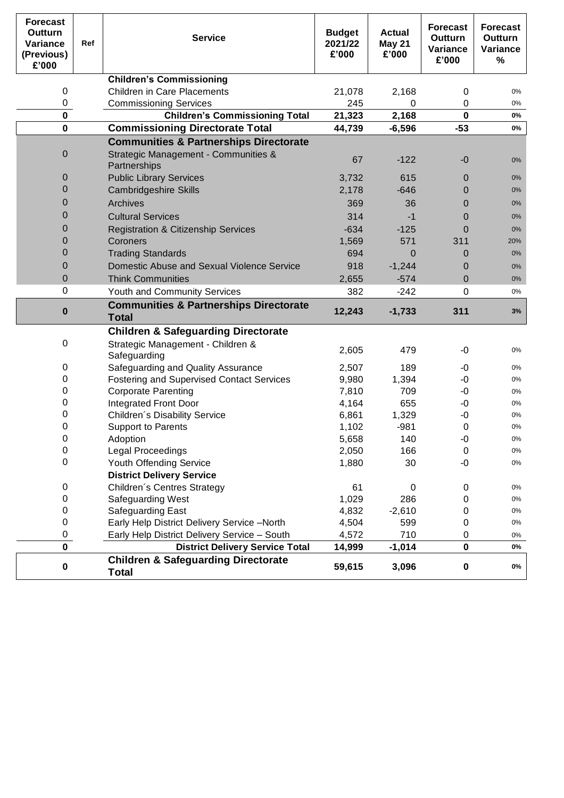| <b>Forecast</b><br>Outturn<br>Variance<br>(Previous)<br>£'000 | Ref | <b>Service</b>                                                    | <b>Budget</b><br>2021/22<br>£'000 | <b>Actual</b><br><b>May 21</b><br>£'000 | <b>Forecast</b><br>Outturn<br>Variance<br>£'000 | <b>Forecast</b><br>Outturn<br>Variance<br>% |
|---------------------------------------------------------------|-----|-------------------------------------------------------------------|-----------------------------------|-----------------------------------------|-------------------------------------------------|---------------------------------------------|
|                                                               |     | <b>Children's Commissioning</b>                                   |                                   |                                         |                                                 |                                             |
| 0                                                             |     | <b>Children in Care Placements</b>                                | 21,078                            | 2,168                                   | 0                                               | 0%                                          |
| 0                                                             |     | <b>Commissioning Services</b>                                     | 245                               | 0                                       | 0                                               | 0%                                          |
| $\mathbf 0$                                                   |     | <b>Children's Commissioning Total</b>                             | 21,323                            | 2,168                                   | $\mathbf 0$                                     | 0%                                          |
| $\mathbf 0$                                                   |     | <b>Commissioning Directorate Total</b>                            | 44,739                            | $-6,596$                                | $-53$                                           | 0%                                          |
|                                                               |     | <b>Communities &amp; Partnerships Directorate</b>                 |                                   |                                         |                                                 |                                             |
| 0                                                             |     | Strategic Management - Communities &<br>Partnerships              | 67                                | $-122$                                  | $-0$                                            | $0\%$                                       |
| 0                                                             |     | <b>Public Library Services</b>                                    | 3,732                             | 615                                     | 0                                               | $0\%$                                       |
| 0                                                             |     | <b>Cambridgeshire Skills</b>                                      | 2,178                             | $-646$                                  | 0                                               | 0%                                          |
| 0                                                             |     | Archives                                                          | 369                               | 36                                      | 0                                               | 0%                                          |
| 0                                                             |     | <b>Cultural Services</b>                                          | 314                               | -1                                      | 0                                               | 0%                                          |
| 0                                                             |     | <b>Registration &amp; Citizenship Services</b>                    | $-634$                            | $-125$                                  | 0                                               | 0%                                          |
| 0                                                             |     | Coroners                                                          | 1,569                             | 571                                     | 311                                             | 20%                                         |
| 0                                                             |     | <b>Trading Standards</b>                                          | 694                               | 0                                       | 0                                               | 0%                                          |
| 0                                                             |     | Domestic Abuse and Sexual Violence Service                        | 918                               | $-1,244$                                | 0                                               | 0%                                          |
| 0                                                             |     | <b>Think Communities</b>                                          | 2,655                             | $-574$                                  | $\mathbf 0$                                     | 0%                                          |
| 0                                                             |     | Youth and Community Services                                      | 382                               | $-242$                                  | 0                                               | 0%                                          |
| 0                                                             |     | <b>Communities &amp; Partnerships Directorate</b><br><b>Total</b> | 12,243                            | $-1,733$                                | 311                                             | 3%                                          |
|                                                               |     | <b>Children &amp; Safeguarding Directorate</b>                    |                                   |                                         |                                                 |                                             |
| 0                                                             |     | Strategic Management - Children &<br>Safeguarding                 | 2,605                             | 479                                     | -0                                              | 0%                                          |
| 0                                                             |     | Safeguarding and Quality Assurance                                | 2,507                             | 189                                     | -0                                              | 0%                                          |
| 0                                                             |     | <b>Fostering and Supervised Contact Services</b>                  | 9,980                             | 1,394                                   | $-0$                                            | 0%                                          |
| 0                                                             |     | <b>Corporate Parenting</b>                                        | 7,810                             | 709                                     | $-0$                                            | 0%                                          |
| 0                                                             |     | <b>Integrated Front Door</b>                                      | 4,164                             | 655                                     | $-0$                                            | 0%                                          |
| 0                                                             |     | Children's Disability Service                                     | 6,861                             | 1,329                                   | $-0$                                            | 0%                                          |
| 0                                                             |     | <b>Support to Parents</b>                                         | 1,102                             | $-981$                                  | $\mathbf 0$                                     | 0%                                          |
| $\cup$                                                        |     | Adoption                                                          | 5,658                             | 140                                     | -0                                              | 0%                                          |
| 0                                                             |     | Legal Proceedings                                                 | 2,050                             | 166                                     | $\Omega$                                        | 0%                                          |
| 0                                                             |     | Youth Offending Service                                           | 1,880                             | 30                                      | $-0$                                            | 0%                                          |
|                                                               |     | <b>District Delivery Service</b>                                  |                                   |                                         |                                                 |                                             |
| 0                                                             |     | Children's Centres Strategy                                       | 61                                | $\pmb{0}$                               | $\mathbf 0$                                     | 0%                                          |
| 0<br>0                                                        |     | Safeguarding West<br>Safeguarding East                            | 1,029<br>4,832                    | 286<br>$-2,610$                         | 0<br>$\pmb{0}$                                  | 0%<br>0%                                    |
| 0                                                             |     | Early Help District Delivery Service -North                       | 4,504                             | 599                                     | $\pmb{0}$                                       | 0%                                          |
| 0                                                             |     | Early Help District Delivery Service - South                      | 4,572                             | 710                                     | 0                                               | 0%                                          |
| $\mathbf 0$                                                   |     | <b>District Delivery Service Total</b>                            | 14,999                            | $-1,014$                                | $\pmb{0}$                                       | 0%                                          |
| $\pmb{0}$                                                     |     | <b>Children &amp; Safeguarding Directorate</b><br><b>Total</b>    | 59,615                            | 3,096                                   | $\pmb{0}$                                       | 0%                                          |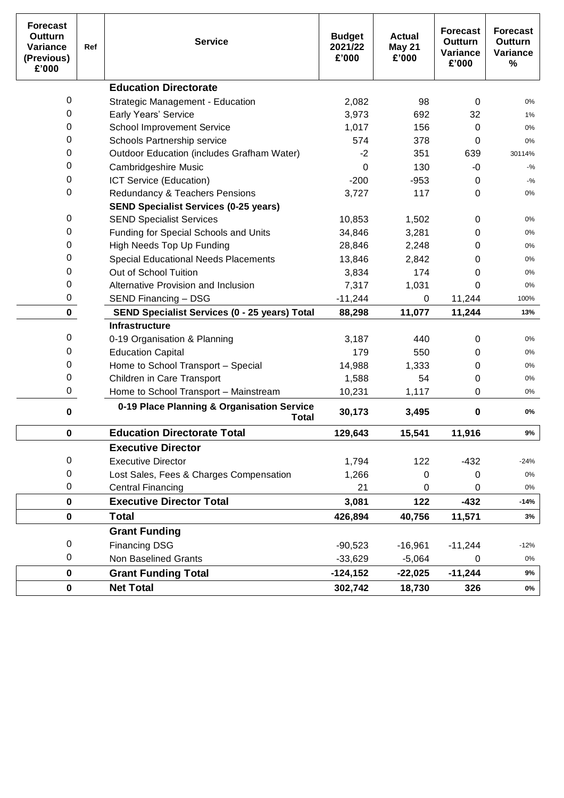| <b>Forecast</b><br>Outturn<br>Variance<br>(Previous)<br>£'000 | Ref | <b>Service</b>                                       | <b>Budget</b><br>2021/22<br>£'000 | <b>Actual</b><br><b>May 21</b><br>£'000 | <b>Forecast</b><br>Outturn<br>Variance<br>£'000 | <b>Forecast</b><br><b>Outturn</b><br>Variance<br>% |
|---------------------------------------------------------------|-----|------------------------------------------------------|-----------------------------------|-----------------------------------------|-------------------------------------------------|----------------------------------------------------|
|                                                               |     | <b>Education Directorate</b>                         |                                   |                                         |                                                 |                                                    |
| 0                                                             |     | <b>Strategic Management - Education</b>              | 2,082                             | 98                                      | 0                                               | $0\%$                                              |
| 0                                                             |     | <b>Early Years' Service</b>                          | 3,973                             | 692                                     | 32                                              | 1%                                                 |
| 0                                                             |     | <b>School Improvement Service</b>                    | 1,017                             | 156                                     | 0                                               | 0%                                                 |
| 0                                                             |     | Schools Partnership service                          | 574                               | 378                                     | 0                                               | 0%                                                 |
| 0                                                             |     | <b>Outdoor Education (includes Grafham Water)</b>    | $-2$                              | 351                                     | 639                                             | 30114%                                             |
| 0                                                             |     | Cambridgeshire Music                                 | 0                                 | 130                                     | -0                                              | $-$ %                                              |
| 0                                                             |     | ICT Service (Education)                              | $-200$                            | $-953$                                  | 0                                               | $-9/6$                                             |
| 0                                                             |     | Redundancy & Teachers Pensions                       | 3,727                             | 117                                     | 0                                               | $0\%$                                              |
|                                                               |     | <b>SEND Specialist Services (0-25 years)</b>         |                                   |                                         |                                                 |                                                    |
| 0                                                             |     | <b>SEND Specialist Services</b>                      | 10,853                            | 1,502                                   | 0                                               | $0\%$                                              |
| 0                                                             |     | Funding for Special Schools and Units                | 34,846                            | 3,281                                   | 0                                               | 0%                                                 |
| 0                                                             |     | High Needs Top Up Funding                            | 28,846                            | 2,248                                   | 0                                               | $0\%$                                              |
| 0                                                             |     | <b>Special Educational Needs Placements</b>          | 13,846                            | 2,842                                   | 0                                               | $0\%$                                              |
| 0                                                             |     | Out of School Tuition                                | 3,834                             | 174                                     | 0                                               | $0\%$                                              |
| 0                                                             |     | Alternative Provision and Inclusion                  | 7,317                             | 1,031                                   | 0                                               | 0%                                                 |
| 0                                                             |     | SEND Financing - DSG                                 | $-11,244$                         | 0                                       | 11,244                                          | 100%                                               |
| $\mathbf 0$                                                   |     | <b>SEND Specialist Services (0 - 25 years) Total</b> | 88,298                            | 11,077                                  | 11,244                                          | 13%                                                |
|                                                               |     | <b>Infrastructure</b>                                |                                   |                                         |                                                 |                                                    |
| 0                                                             |     | 0-19 Organisation & Planning                         | 3,187                             | 440                                     | 0                                               | $0\%$                                              |
| 0                                                             |     | <b>Education Capital</b>                             | 179                               | 550                                     | 0                                               | 0%                                                 |
| 0                                                             |     | Home to School Transport - Special                   | 14,988                            | 1,333                                   | 0                                               | $0\%$                                              |
| 0                                                             |     | Children in Care Transport                           | 1,588                             | 54                                      | 0                                               | $0\%$                                              |
| 0                                                             |     | Home to School Transport - Mainstream                | 10,231                            | 1,117                                   | 0                                               | $0\%$                                              |
| 0                                                             |     | 0-19 Place Planning & Organisation Service<br>Total  | 30,173                            | 3,495                                   | 0                                               | 0%                                                 |
| 0                                                             |     | <b>Education Directorate Total</b>                   | 129,643                           | 15,541                                  | 11,916                                          | 9%                                                 |
|                                                               |     | <b>Executive Director</b>                            |                                   |                                         |                                                 |                                                    |
| 0                                                             |     | <b>Executive Director</b>                            | 1,794                             | 122                                     | $-432$                                          | $-24%$                                             |
| 0                                                             |     | Lost Sales, Fees & Charges Compensation              | 1,266                             | 0                                       | 0                                               | 0%                                                 |
| 0                                                             |     | <b>Central Financing</b>                             | 21                                | 0                                       | 0                                               | $0\%$                                              |
| $\pmb{0}$                                                     |     | <b>Executive Director Total</b>                      | 3,081                             | 122                                     | $-432$                                          | $-14%$                                             |
| $\mathbf 0$                                                   |     | <b>Total</b>                                         | 426,894                           | 40,756                                  | 11,571                                          | 3%                                                 |
|                                                               |     | <b>Grant Funding</b>                                 |                                   |                                         |                                                 |                                                    |
| 0                                                             |     | <b>Financing DSG</b>                                 | $-90,523$                         | $-16,961$                               | $-11,244$                                       | $-12%$                                             |
| 0                                                             |     | Non Baselined Grants                                 | $-33,629$                         | $-5,064$                                | 0                                               | 0%                                                 |
| $\mathbf 0$                                                   |     | <b>Grant Funding Total</b>                           | $-124, 152$                       | $-22,025$                               | $-11,244$                                       | 9%                                                 |
| 0                                                             |     | <b>Net Total</b>                                     | 302,742                           | 18,730                                  | 326                                             | $0\%$                                              |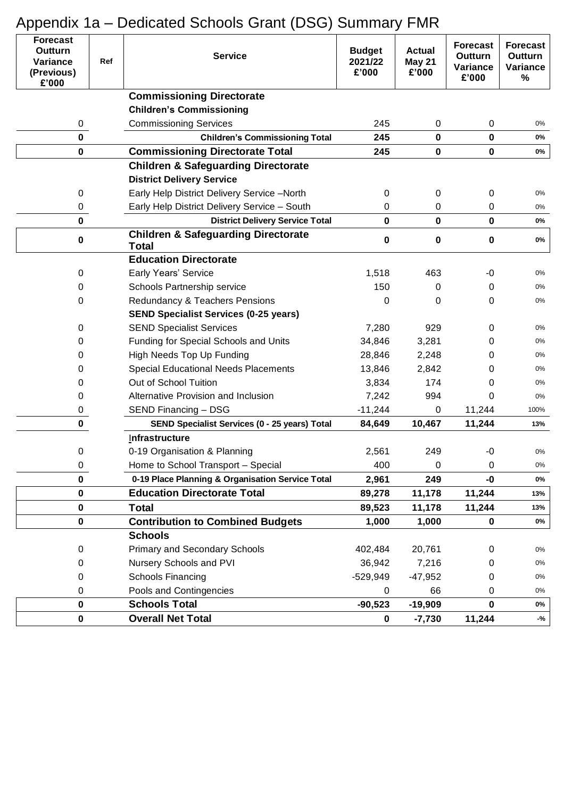| <b>Forecast</b><br>Outturn<br>Variance<br>Ref<br>(Previous)<br>£'000 |  | <b>Service</b>                                                 | <b>Budget</b><br>2021/22<br>£'000 | <b>Actual</b><br>May 21<br>£'000 | <b>Forecast</b><br>Outturn<br>Variance<br>£'000 | <b>Forecast</b><br>Outturn<br>Variance<br>$\%$ |
|----------------------------------------------------------------------|--|----------------------------------------------------------------|-----------------------------------|----------------------------------|-------------------------------------------------|------------------------------------------------|
|                                                                      |  | <b>Commissioning Directorate</b>                               |                                   |                                  |                                                 |                                                |
|                                                                      |  | <b>Children's Commissioning</b>                                |                                   |                                  |                                                 |                                                |
| 0                                                                    |  | <b>Commissioning Services</b>                                  | 245                               | 0                                | $\mathbf 0$                                     | 0%                                             |
| $\mathbf 0$                                                          |  | <b>Children's Commissioning Total</b>                          | 245                               | $\mathbf 0$                      | $\mathbf 0$                                     | 0%                                             |
| 0                                                                    |  | <b>Commissioning Directorate Total</b>                         | 245                               | $\mathbf 0$                      | $\mathbf 0$                                     | $0\%$                                          |
|                                                                      |  | <b>Children &amp; Safeguarding Directorate</b>                 |                                   |                                  |                                                 |                                                |
|                                                                      |  | <b>District Delivery Service</b>                               |                                   |                                  |                                                 |                                                |
| 0                                                                    |  | Early Help District Delivery Service -North                    | 0                                 | 0                                | 0                                               | $0\%$                                          |
| 0                                                                    |  | Early Help District Delivery Service - South                   | 0                                 | 0                                | 0                                               | 0%                                             |
| $\mathbf 0$                                                          |  | <b>District Delivery Service Total</b>                         | 0                                 | $\bf{0}$                         | $\mathbf 0$                                     | 0%                                             |
| 0                                                                    |  | <b>Children &amp; Safeguarding Directorate</b><br><b>Total</b> | 0                                 | $\bf{0}$                         | $\pmb{0}$                                       | 0%                                             |
|                                                                      |  | <b>Education Directorate</b>                                   |                                   |                                  |                                                 |                                                |
| 0                                                                    |  | <b>Early Years' Service</b>                                    | 1,518                             | 463                              | -0                                              | $0\%$                                          |
| 0                                                                    |  | Schools Partnership service                                    | 150                               | 0                                | 0                                               | 0%                                             |
| 0                                                                    |  | Redundancy & Teachers Pensions                                 | 0                                 | 0                                | 0                                               | 0%                                             |
|                                                                      |  | <b>SEND Specialist Services (0-25 years)</b>                   |                                   |                                  |                                                 |                                                |
| 0                                                                    |  | <b>SEND Specialist Services</b>                                | 7,280                             | 929                              | 0                                               | 0%                                             |
| 0                                                                    |  | Funding for Special Schools and Units                          | 34,846                            | 3,281                            | 0                                               | 0%                                             |
| 0                                                                    |  | High Needs Top Up Funding                                      | 28,846                            | 2,248                            | 0                                               | 0%                                             |
| 0                                                                    |  | <b>Special Educational Needs Placements</b>                    | 13,846                            | 2,842                            | 0                                               | 0%                                             |
| 0                                                                    |  | Out of School Tuition                                          | 3,834                             | 174                              | 0                                               | $0\%$                                          |
| 0                                                                    |  | Alternative Provision and Inclusion                            | 7,242                             | 994                              | 0                                               | $0\%$                                          |
| 0                                                                    |  | SEND Financing - DSG                                           | $-11,244$                         | 0                                | 11,244                                          | 100%                                           |
| $\pmb{0}$                                                            |  | SEND Specialist Services (0 - 25 years) Total                  | 84,649                            | 10,467                           | 11,244                                          | 13%                                            |
|                                                                      |  | Infrastructure                                                 |                                   |                                  |                                                 |                                                |
| 0                                                                    |  | 0-19 Organisation & Planning                                   | 2,561                             | 249                              | -0                                              | 0%                                             |
| 0                                                                    |  | Home to School Transport - Special                             | 400                               | 0                                | 0                                               | $0\%$                                          |
| 0                                                                    |  | 0-19 Place Planning & Organisation Service Total               | 2,961                             | 249                              | -0                                              | 0%                                             |
| 0                                                                    |  | <b>Education Directorate Total</b>                             | 89,278                            | 11,178                           | 11,244                                          | 13%                                            |
| 0                                                                    |  | <b>Total</b>                                                   | 89,523                            | 11,178                           | 11,244                                          | 13%                                            |
| 0                                                                    |  | <b>Contribution to Combined Budgets</b>                        | 1,000                             | 1,000                            | $\mathbf 0$                                     | 0%                                             |
|                                                                      |  | <b>Schools</b>                                                 |                                   |                                  |                                                 |                                                |
| 0                                                                    |  | <b>Primary and Secondary Schools</b>                           | 402,484                           | 20,761                           | 0                                               | $0\%$                                          |
| 0                                                                    |  | Nursery Schools and PVI                                        | 36,942                            | 7,216                            | 0                                               | $0\%$                                          |
| 0                                                                    |  | Schools Financing                                              | $-529,949$                        | $-47,952$                        | 0                                               | 0%                                             |
| 0                                                                    |  | Pools and Contingencies                                        | 0                                 | 66                               | 0                                               | $0\%$                                          |
| 0                                                                    |  | <b>Schools Total</b>                                           | $-90,523$                         | $-19,909$                        | $\bf{0}$                                        | 0%                                             |
| 0                                                                    |  | <b>Overall Net Total</b>                                       | 0                                 | $-7,730$                         | 11,244                                          | -%                                             |

# Appendix 1a – Dedicated Schools Grant (DSG) Summary FMR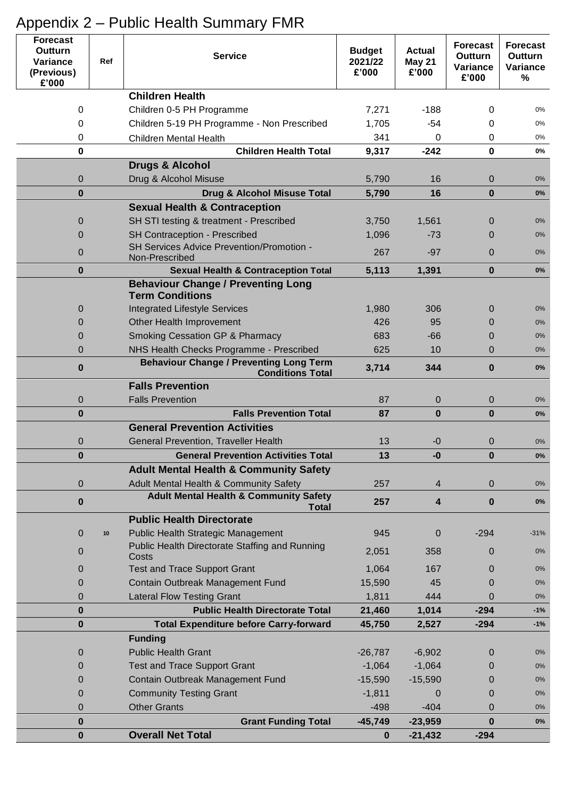| <b>Forecast</b><br><b>Outturn</b><br>Variance<br>(Previous)<br>£'000 | Ref            | <b>Service</b>                                                            | <b>Budget</b><br>2021/22<br>£'000 | <b>Actual</b><br><b>May 21</b><br>£'000 | <b>Forecast</b><br><b>Outturn</b><br>Variance<br>£'000 | <b>Forecast</b><br><b>Outturn</b><br>Variance<br>$\%$ |
|----------------------------------------------------------------------|----------------|---------------------------------------------------------------------------|-----------------------------------|-----------------------------------------|--------------------------------------------------------|-------------------------------------------------------|
|                                                                      |                | <b>Children Health</b>                                                    |                                   |                                         |                                                        |                                                       |
|                                                                      | 0              | Children 0-5 PH Programme                                                 | 7,271                             | $-188$                                  | 0                                                      | 0%                                                    |
|                                                                      | 0              | Children 5-19 PH Programme - Non Prescribed                               | 1,705                             | $-54$                                   | 0                                                      | 0%                                                    |
|                                                                      | 0              | <b>Children Mental Health</b>                                             | 341                               | 0                                       | 0                                                      | 0%                                                    |
|                                                                      | 0              | <b>Children Health Total</b>                                              | 9,317                             | $-242$                                  | $\bf{0}$                                               | 0%                                                    |
|                                                                      |                | <b>Drugs &amp; Alcohol</b>                                                |                                   |                                         |                                                        |                                                       |
|                                                                      | 0              | Drug & Alcohol Misuse                                                     | 5,790                             | 16                                      | 0                                                      | 0%                                                    |
|                                                                      | $\bf{0}$       | <b>Drug &amp; Alcohol Misuse Total</b>                                    | 5,790                             | 16                                      | $\bf{0}$                                               | $0\%$                                                 |
|                                                                      |                | <b>Sexual Health &amp; Contraception</b>                                  |                                   |                                         |                                                        |                                                       |
|                                                                      | 0              | SH STI testing & treatment - Prescribed                                   | 3,750                             | 1,561                                   | 0                                                      | 0%                                                    |
|                                                                      | $\overline{0}$ | SH Contraception - Prescribed                                             | 1,096                             | $-73$                                   | 0                                                      | 0%                                                    |
|                                                                      | $\overline{0}$ | SH Services Advice Prevention/Promotion -                                 | 267                               | $-97$                                   | 0                                                      | 0%                                                    |
|                                                                      | $\bf{0}$       | Non-Prescribed<br><b>Sexual Health &amp; Contraception Total</b>          | 5,113                             | 1,391                                   | $\bf{0}$                                               | $0\%$                                                 |
|                                                                      |                | <b>Behaviour Change / Preventing Long</b>                                 |                                   |                                         |                                                        |                                                       |
|                                                                      |                | <b>Term Conditions</b>                                                    |                                   |                                         |                                                        |                                                       |
|                                                                      | 0              | <b>Integrated Lifestyle Services</b>                                      | 1,980                             | 306                                     | $\mathbf 0$                                            | 0%                                                    |
|                                                                      | $\overline{0}$ | Other Health Improvement                                                  | 426                               | 95                                      | 0                                                      | 0%                                                    |
|                                                                      | 0              | <b>Smoking Cessation GP &amp; Pharmacy</b>                                | 683                               | $-66$                                   | 0                                                      | 0%                                                    |
|                                                                      | $\overline{0}$ | NHS Health Checks Programme - Prescribed                                  | 625                               | 10                                      | 0                                                      | 0%                                                    |
|                                                                      | $\bf{0}$       | <b>Behaviour Change / Preventing Long Term</b><br><b>Conditions Total</b> | 3,714                             | 344                                     | 0                                                      | 0%                                                    |
|                                                                      |                | <b>Falls Prevention</b>                                                   |                                   |                                         |                                                        |                                                       |
|                                                                      | 0              | <b>Falls Prevention</b>                                                   | 87                                | $\mathbf 0$                             | $\mathbf{0}$                                           | 0%                                                    |
|                                                                      | $\bf{0}$       | <b>Falls Prevention Total</b>                                             | 87                                | $\bf{0}$                                | $\bf{0}$                                               | 0%                                                    |
|                                                                      |                | <b>General Prevention Activities</b>                                      |                                   |                                         |                                                        |                                                       |
|                                                                      | 0              | General Prevention, Traveller Health                                      | 13                                | -0                                      | 0                                                      | 0%                                                    |
|                                                                      | $\bf{0}$       | <b>General Prevention Activities Total</b>                                | 13                                | -0                                      | $\bf{0}$                                               | $0\%$                                                 |
|                                                                      |                | <b>Adult Mental Health &amp; Community Safety</b>                         |                                   |                                         |                                                        |                                                       |
|                                                                      | 0              | Adult Mental Health & Community Safety                                    | 257                               | 4                                       | 0                                                      | $0\%$                                                 |
|                                                                      | $\bf{0}$       | <b>Adult Mental Health &amp; Community Safety</b><br><b>Total</b>         | 257                               | 4                                       | $\bf{0}$                                               | $0\%$                                                 |
|                                                                      |                | <b>Public Health Directorate</b>                                          |                                   |                                         |                                                        |                                                       |
|                                                                      | 0<br>10        | <b>Public Health Strategic Management</b>                                 | 945                               | $\mathbf 0$                             | $-294$                                                 | $-31%$                                                |
|                                                                      | $\mathbf 0$    | Public Health Directorate Staffing and Running<br>Costs                   | 2,051                             | 358                                     | 0                                                      | $0\%$                                                 |
|                                                                      | 0              | <b>Test and Trace Support Grant</b>                                       | 1,064                             | 167                                     | 0                                                      | $0\%$                                                 |
|                                                                      | 0              | Contain Outbreak Management Fund                                          | 15,590                            | 45                                      | 0                                                      | 0%                                                    |
|                                                                      | $\overline{0}$ | <b>Lateral Flow Testing Grant</b>                                         | 1,811                             | 444                                     | 0                                                      | $0\%$                                                 |
|                                                                      | $\bf{0}$       | <b>Public Health Directorate Total</b>                                    | 21,460                            | 1,014                                   | $-294$                                                 | $-1%$                                                 |
|                                                                      | $\bf{0}$       | <b>Total Expenditure before Carry-forward</b>                             | 45,750                            | 2,527                                   | $-294$                                                 | $-1%$                                                 |
|                                                                      |                | <b>Funding</b>                                                            |                                   |                                         |                                                        |                                                       |
|                                                                      | 0              | <b>Public Health Grant</b>                                                | $-26,787$                         | $-6,902$                                | 0                                                      | 0%                                                    |
|                                                                      | 0              | <b>Test and Trace Support Grant</b>                                       | $-1,064$                          | $-1,064$                                | 0                                                      | 0%                                                    |
|                                                                      | 0              | Contain Outbreak Management Fund                                          | $-15,590$                         | $-15,590$                               | 0                                                      | 0%                                                    |
|                                                                      | 0              | <b>Community Testing Grant</b>                                            | $-1,811$                          | $\Omega$                                | 0                                                      | $0\%$                                                 |
|                                                                      | 0              | <b>Other Grants</b>                                                       | $-498$                            | $-404$                                  | 0                                                      | $0\%$                                                 |
|                                                                      | $\bf{0}$       | <b>Grant Funding Total</b>                                                | $-45,749$                         | $-23,959$                               | $\bf{0}$                                               | $0\%$                                                 |
|                                                                      | $\bf{0}$       | <b>Overall Net Total</b>                                                  | $\bf{0}$                          | $-21,432$                               | $-294$                                                 |                                                       |

# Appendix 2 – Public Health Summary FMR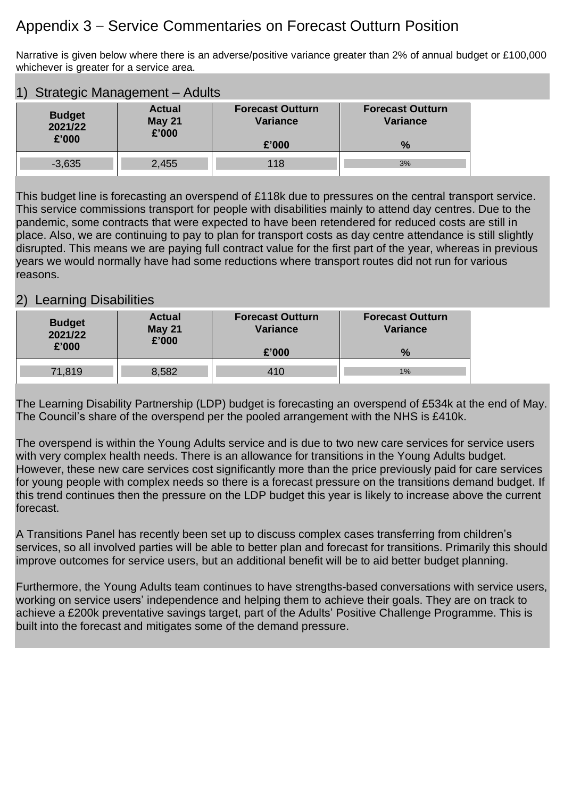## Appendix 3 – Service Commentaries on Forecast Outturn Position

Narrative is given below where there is an adverse/positive variance greater than 2% of annual budget or £100,000 whichever is greater for a service area.

| 1)<br>Strategic Management - Adults                                          |       |                                            |                                            |  |  |  |
|------------------------------------------------------------------------------|-------|--------------------------------------------|--------------------------------------------|--|--|--|
| <b>Actual</b><br><b>Budget</b><br><b>May 21</b><br>2021/22<br>£'000<br>£'000 |       | <b>Forecast Outturn</b><br><b>Variance</b> | <b>Forecast Outturn</b><br><b>Variance</b> |  |  |  |
|                                                                              |       | £'000                                      | $\%$                                       |  |  |  |
| $-3,635$                                                                     | 2,455 | 118                                        | 3%                                         |  |  |  |

This budget line is forecasting an overspend of £118k due to pressures on the central transport service. This service commissions transport for people with disabilities mainly to attend day centres. Due to the pandemic, some contracts that were expected to have been retendered for reduced costs are still in place. Also, we are continuing to pay to plan for transport costs as day centre attendance is still slightly disrupted. This means we are paying full contract value for the first part of the year, whereas in previous years we would normally have had some reductions where transport routes did not run for various reasons.

## 2) Learning Disabilities

| <b>Budget</b><br>2021/22<br>£'000 | <b>Actual</b><br><b>May 21</b><br>£'000 | <b>Forecast Outturn</b><br><b>Variance</b> | <b>Forecast Outturn</b><br><b>Variance</b> |  |
|-----------------------------------|-----------------------------------------|--------------------------------------------|--------------------------------------------|--|
|                                   |                                         | £'000                                      | $\%$                                       |  |
| 71,819                            | 8,582                                   | 410                                        | 1%                                         |  |

The Learning Disability Partnership (LDP) budget is forecasting an overspend of £534k at the end of May. The Council's share of the overspend per the pooled arrangement with the NHS is £410k.

The overspend is within the Young Adults service and is due to two new care services for service users with very complex health needs. There is an allowance for transitions in the Young Adults budget. However, these new care services cost significantly more than the price previously paid for care services for young people with complex needs so there is a forecast pressure on the transitions demand budget. If this trend continues then the pressure on the LDP budget this year is likely to increase above the current forecast.

A Transitions Panel has recently been set up to discuss complex cases transferring from children's services, so all involved parties will be able to better plan and forecast for transitions. Primarily this should improve outcomes for service users, but an additional benefit will be to aid better budget planning.

Furthermore, the Young Adults team continues to have strengths-based conversations with service users, working on service users' independence and helping them to achieve their goals. They are on track to achieve a £200k preventative savings target, part of the Adults' Positive Challenge Programme. This is built into the forecast and mitigates some of the demand pressure.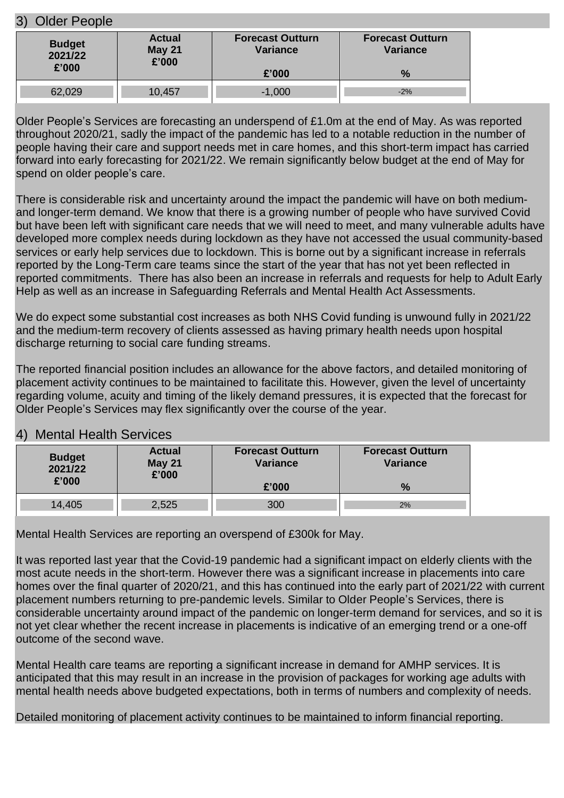### 3) Older People

| <b>Budget</b> | <b>Actual</b> | <b>Forecast Outturn</b> | <b>Forecast Outturn</b> |
|---------------|---------------|-------------------------|-------------------------|
| 2021/22       | <b>May 21</b> | <b>Variance</b>         | <b>Variance</b>         |
| £'000         | £'000         | £'000                   | $\%$                    |
| 62,029        | 10,457        | $-1,000$                | $-2%$                   |

Older People's Services are forecasting an underspend of £1.0m at the end of May. As was reported throughout 2020/21, sadly the impact of the pandemic has led to a notable reduction in the number of people having their care and support needs met in care homes, and this short-term impact has carried forward into early forecasting for 2021/22. We remain significantly below budget at the end of May for spend on older people's care.

There is considerable risk and uncertainty around the impact the pandemic will have on both mediumand longer-term demand. We know that there is a growing number of people who have survived Covid but have been left with significant care needs that we will need to meet, and many vulnerable adults have developed more complex needs during lockdown as they have not accessed the usual community-based services or early help services due to lockdown. This is borne out by a significant increase in referrals reported by the Long-Term care teams since the start of the year that has not yet been reflected in reported commitments. There has also been an increase in referrals and requests for help to Adult Early Help as well as an increase in Safeguarding Referrals and Mental Health Act Assessments.

We do expect some substantial cost increases as both NHS Covid funding is unwound fully in 2021/22 and the medium-term recovery of clients assessed as having primary health needs upon hospital discharge returning to social care funding streams.

The reported financial position includes an allowance for the above factors, and detailed monitoring of placement activity continues to be maintained to facilitate this. However, given the level of uncertainty regarding volume, acuity and timing of the likely demand pressures, it is expected that the forecast for Older People's Services may flex significantly over the course of the year.

## 4) Mental Health Services

| <b>Budget</b> | <b>Actual</b> | <b>Forecast Outturn</b> | <b>Forecast Outturn</b> |
|---------------|---------------|-------------------------|-------------------------|
| 2021/22       | <b>May 21</b> | <b>Variance</b>         | <b>Variance</b>         |
| £'000         | £'000         | £'000                   | $\%$                    |
| 14,405        | 2,525         | 300                     | 2%                      |

Mental Health Services are reporting an overspend of £300k for May.

It was reported last year that the Covid-19 pandemic had a significant impact on elderly clients with the most acute needs in the short-term. However there was a significant increase in placements into care homes over the final quarter of 2020/21, and this has continued into the early part of 2021/22 with current placement numbers returning to pre-pandemic levels. Similar to Older People's Services, there is considerable uncertainty around impact of the pandemic on longer-term demand for services, and so it is not yet clear whether the recent increase in placements is indicative of an emerging trend or a one-off outcome of the second wave.

Mental Health care teams are reporting a significant increase in demand for AMHP services. It is anticipated that this may result in an increase in the provision of packages for working age adults with mental health needs above budgeted expectations, both in terms of numbers and complexity of needs.

Detailed monitoring of placement activity continues to be maintained to inform financial reporting.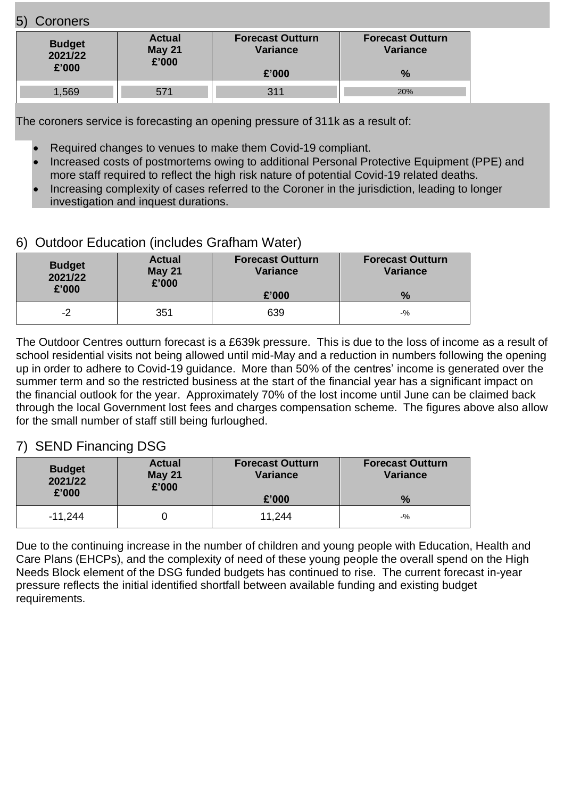## 5) Coroners

| <b>Budget</b><br>2021/22<br>£'000 | <b>Actual</b><br><b>May 21</b><br>£'000 | <b>Forecast Outturn</b><br><b>Variance</b> | <b>Forecast Outturn</b><br>Variance |
|-----------------------------------|-----------------------------------------|--------------------------------------------|-------------------------------------|
|                                   |                                         | £'000                                      | $\frac{0}{2}$                       |
| 1,569                             | 571                                     | 311                                        | 20%                                 |

The coroners service is forecasting an opening pressure of 311k as a result of:

- Required changes to venues to make them Covid-19 compliant.
- Increased costs of postmortems owing to additional Personal Protective Equipment (PPE) and more staff required to reflect the high risk nature of potential Covid-19 related deaths.
- Increasing complexity of cases referred to the Coroner in the jurisdiction, leading to longer investigation and inquest durations.

## 6) Outdoor Education (includes Grafham Water)

| <b>Budget</b><br>2021/22<br>£'000 | <b>Actual</b><br><b>May 21</b><br>£'000 | <b>Forecast Outturn</b><br><b>Variance</b> | <b>Forecast Outturn</b><br>Variance |
|-----------------------------------|-----------------------------------------|--------------------------------------------|-------------------------------------|
|                                   |                                         | £'000                                      | $\frac{0}{6}$                       |
| -2                                | 351                                     | 639                                        | -%                                  |

The Outdoor Centres outturn forecast is a £639k pressure. This is due to the loss of income as a result of school residential visits not being allowed until mid-May and a reduction in numbers following the opening up in order to adhere to Covid-19 guidance. More than 50% of the centres' income is generated over the summer term and so the restricted business at the start of the financial year has a significant impact on the financial outlook for the year. Approximately 70% of the lost income until June can be claimed back through the local Government lost fees and charges compensation scheme. The figures above also allow for the small number of staff still being furloughed.

## 7) SEND Financing DSG

| <b>Budget</b><br>2021/22<br>£'000 | <b>Actual</b><br><b>May 21</b><br>£'000 | <b>Forecast Outturn</b><br><b>Variance</b> | <b>Forecast Outturn</b><br><b>Variance</b> |
|-----------------------------------|-----------------------------------------|--------------------------------------------|--------------------------------------------|
|                                   |                                         | £'000                                      | $\frac{9}{6}$                              |
| $-11,244$                         |                                         | 11,244                                     | $-$ %                                      |

Due to the continuing increase in the number of children and young people with Education, Health and Care Plans (EHCPs), and the complexity of need of these young people the overall spend on the High Needs Block element of the DSG funded budgets has continued to rise. The current forecast in-year pressure reflects the initial identified shortfall between available funding and existing budget requirements.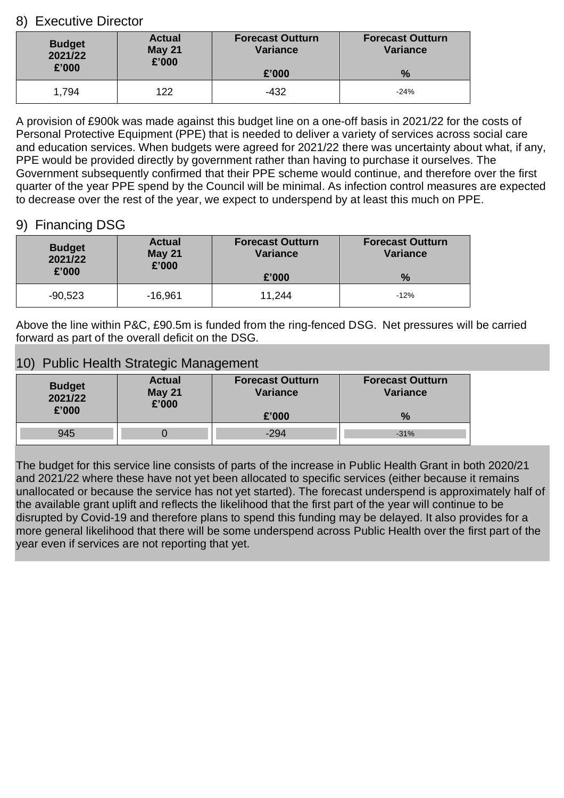## 8) Executive Director

| <b>Budget</b><br>2021/22<br>£'000 | <b>Actual</b><br><b>May 21</b><br>£'000 | <b>Forecast Outturn</b><br><b>Variance</b> | <b>Forecast Outturn</b><br><b>Variance</b> |  |
|-----------------------------------|-----------------------------------------|--------------------------------------------|--------------------------------------------|--|
|                                   |                                         | £'000                                      | $\frac{9}{6}$                              |  |
| 1,794                             | 122                                     | $-432$                                     | $-24%$                                     |  |

A provision of £900k was made against this budget line on a one-off basis in 2021/22 for the costs of Personal Protective Equipment (PPE) that is needed to deliver a variety of services across social care and education services. When budgets were agreed for 2021/22 there was uncertainty about what, if any, PPE would be provided directly by government rather than having to purchase it ourselves. The Government subsequently confirmed that their PPE scheme would continue, and therefore over the first quarter of the year PPE spend by the Council will be minimal. As infection control measures are expected to decrease over the rest of the year, we expect to underspend by at least this much on PPE.

## 9) Financing DSG

| <b>Budget</b> | <b>Actual</b> | <b>Forecast Outturn</b> | <b>Forecast Outturn</b> |
|---------------|---------------|-------------------------|-------------------------|
| 2021/22       | <b>May 21</b> | <b>Variance</b>         | <b>Variance</b>         |
| £'000         | £'000         | £'000                   | $\frac{0}{2}$           |
| $-90,523$     | $-16,961$     | 11,244                  | $-12%$                  |

Above the line within P&C, £90.5m is funded from the ring-fenced DSG. Net pressures will be carried forward as part of the overall deficit on the DSG.

## 10) Public Health Strategic Management

| <b>Budget</b><br>2021/22<br>£'000 | <b>Actual</b><br><b>May 21</b><br>£'000 | <b>Forecast Outturn</b><br><b>Variance</b> | <b>Forecast Outturn</b><br><b>Variance</b> |
|-----------------------------------|-----------------------------------------|--------------------------------------------|--------------------------------------------|
|                                   |                                         | £'000                                      | $\frac{9}{6}$                              |
| 945                               |                                         | $-294$                                     | $-31%$                                     |

The budget for this service line consists of parts of the increase in Public Health Grant in both 2020/21 and 2021/22 where these have not yet been allocated to specific services (either because it remains unallocated or because the service has not yet started). The forecast underspend is approximately half of the available grant uplift and reflects the likelihood that the first part of the year will continue to be disrupted by Covid-19 and therefore plans to spend this funding may be delayed. It also provides for a more general likelihood that there will be some underspend across Public Health over the first part of the year even if services are not reporting that yet.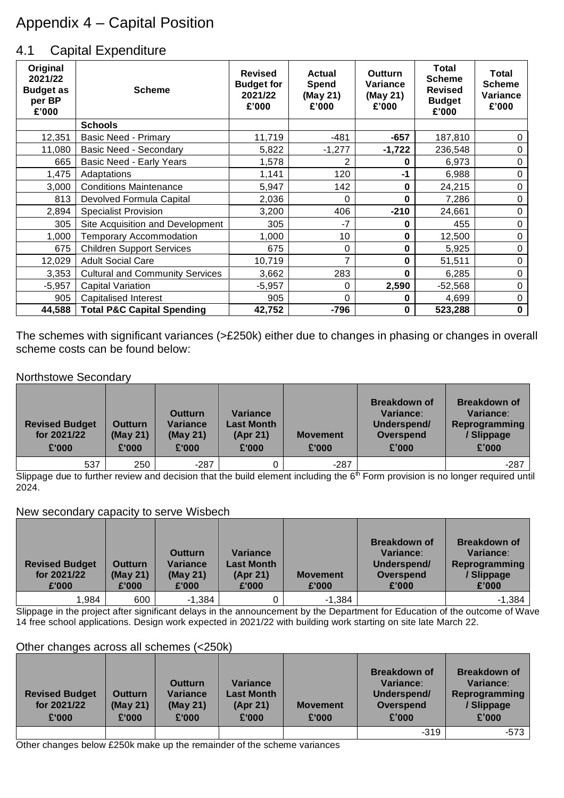# Appendix 4 – Capital Position

## 4.1 Capital Expenditure

| Original<br>2021/22<br><b>Budget as</b><br>per BP<br>£'000 | <b>Scheme</b>                          | <b>Revised</b><br><b>Budget for</b><br>2021/22<br>£'000 | <b>Actual</b><br>Spend<br>(May 21)<br>£'000 | <b>Outturn</b><br><b>Variance</b><br>(May 21)<br>£'000 | Total<br><b>Scheme</b><br><b>Revised</b><br><b>Budget</b><br>£'000 | Total<br><b>Scheme</b><br>Variance<br>£'000 |
|------------------------------------------------------------|----------------------------------------|---------------------------------------------------------|---------------------------------------------|--------------------------------------------------------|--------------------------------------------------------------------|---------------------------------------------|
|                                                            | <b>Schools</b>                         |                                                         |                                             |                                                        |                                                                    |                                             |
| 12,351                                                     | Basic Need - Primary                   | 11,719                                                  | $-481$                                      | $-657$                                                 | 187,810                                                            | 0                                           |
| 11,080                                                     | <b>Basic Need - Secondary</b>          | 5,822                                                   | $-1,277$                                    | $-1,722$                                               | 236,548                                                            | 0                                           |
| 665                                                        | <b>Basic Need - Early Years</b>        | 1,578                                                   | 2                                           | 0                                                      | 6,973                                                              | 0                                           |
| 1,475                                                      | Adaptations                            | 1,141                                                   | 120                                         | -1                                                     | 6,988                                                              | 0                                           |
| 3,000                                                      | <b>Conditions Maintenance</b>          | 5,947                                                   | 142                                         | 0                                                      | 24,215                                                             | 0                                           |
| 813                                                        | Devolved Formula Capital               | 2,036                                                   | 0                                           | 0                                                      | 7,286                                                              | 0                                           |
| 2,894                                                      | <b>Specialist Provision</b>            | 3,200                                                   | 406                                         | $-210$                                                 | 24,661                                                             | 0                                           |
| 305                                                        | Site Acquisition and Development       | 305                                                     | $-7$                                        | 0                                                      | 455                                                                | 0                                           |
| 1,000                                                      | <b>Temporary Accommodation</b>         | 1,000                                                   | 10                                          | 0                                                      | 12,500                                                             | 0                                           |
| 675                                                        | <b>Children Support Services</b>       | 675                                                     | 0                                           | 0                                                      | 5,925                                                              | 0                                           |
| 12,029                                                     | <b>Adult Social Care</b>               | 10,719                                                  | 7                                           | 0                                                      | 51,511                                                             | 0                                           |
| 3,353                                                      | <b>Cultural and Community Services</b> | 3,662                                                   | 283                                         | 0                                                      | 6,285                                                              | $\pmb{0}$                                   |
| $-5,957$                                                   | Capital Variation                      | $-5,957$                                                | 0                                           | 2,590                                                  | $-52,568$                                                          | 0                                           |
| 905                                                        | <b>Capitalised Interest</b>            | 905                                                     | $\Omega$                                    | 0                                                      | 4,699                                                              | $\pmb{0}$                                   |
| 44,588                                                     | <b>Total P&amp;C Capital Spending</b>  | 42,752                                                  | $-796$                                      | 0                                                      | 523,288                                                            | $\mathbf 0$                                 |

The schemes with significant variances (>£250k) either due to changes in phasing or changes in overall scheme costs can be found below:

#### Northstowe Secondary

| <b>Revised Budget</b><br>for 2021/22<br>£'000 | <b>Outturn</b><br>(May 21)<br>£'000 | <b>Outturn</b><br><b>Variance</b><br>(May 21)<br>£'000 | <b>Variance</b><br><b>Last Month</b><br>(Apr 21)<br>£'000 | <b>Movement</b><br>£'000 | <b>Breakdown of</b><br>Variance:<br>Underspend/<br>Overspend<br>£'000 | <b>Breakdown of</b><br>Variance:<br>Reprogramming<br>/ Slippage<br>£'000 |
|-----------------------------------------------|-------------------------------------|--------------------------------------------------------|-----------------------------------------------------------|--------------------------|-----------------------------------------------------------------------|--------------------------------------------------------------------------|
| 537                                           | 250                                 | $-287$                                                 |                                                           | $-287$                   |                                                                       | $-287$                                                                   |

Slippage due to further review and decision that the build element including the 6<sup>th</sup> Form provision is no longer required until 2024.

#### New secondary capacity to serve Wisbech

| <b>Revised Budget</b><br>for 2021/22<br>£'000 | Outturn<br>(May 21)<br>£'000 | <b>Outturn</b><br><b>Variance</b><br>(May 21)<br>£'000 | <b>Variance</b><br>Last Month<br>(Apr 21)<br>£'000 | <b>Movement</b><br>£'000 | <b>Breakdown of</b><br>Variance:<br>Underspend/<br>Overspend<br>£'000 | <b>Breakdown of</b><br>Variance:<br>Reprogramming<br>/ Slippage<br>£'000 |
|-----------------------------------------------|------------------------------|--------------------------------------------------------|----------------------------------------------------|--------------------------|-----------------------------------------------------------------------|--------------------------------------------------------------------------|
| 1.984                                         | 600                          | $-1,384$                                               |                                                    | $-1,384$                 |                                                                       | $-1,384$                                                                 |

Slippage in the project after significant delays in the announcement by the Department for Education of the outcome of Wave 14 free school applications. Design work expected in 2021/22 with building work starting on site late March 22.

#### Other changes across all schemes (<250k)

| <b>Revised Budget</b><br>for 2021/22<br>£'000 | <b>Outturn</b><br>(May 21)<br>£'000 | <b>Outturn</b><br><b>Variance</b><br>(May 21)<br>£'000 | Variance<br><b>Last Month</b><br>(Apr 21)<br>£'000 | <b>Movement</b><br>£'000 | <b>Breakdown of</b><br>Variance:<br>Underspend/<br>Overspend<br>£'000 | <b>Breakdown of</b><br>Variance:<br>Reprogramming<br>/ Slippage<br>£'000 |
|-----------------------------------------------|-------------------------------------|--------------------------------------------------------|----------------------------------------------------|--------------------------|-----------------------------------------------------------------------|--------------------------------------------------------------------------|
|                                               |                                     |                                                        |                                                    |                          | $-319$                                                                | $-573$                                                                   |

Other changes below £250k make up the remainder of the scheme variances